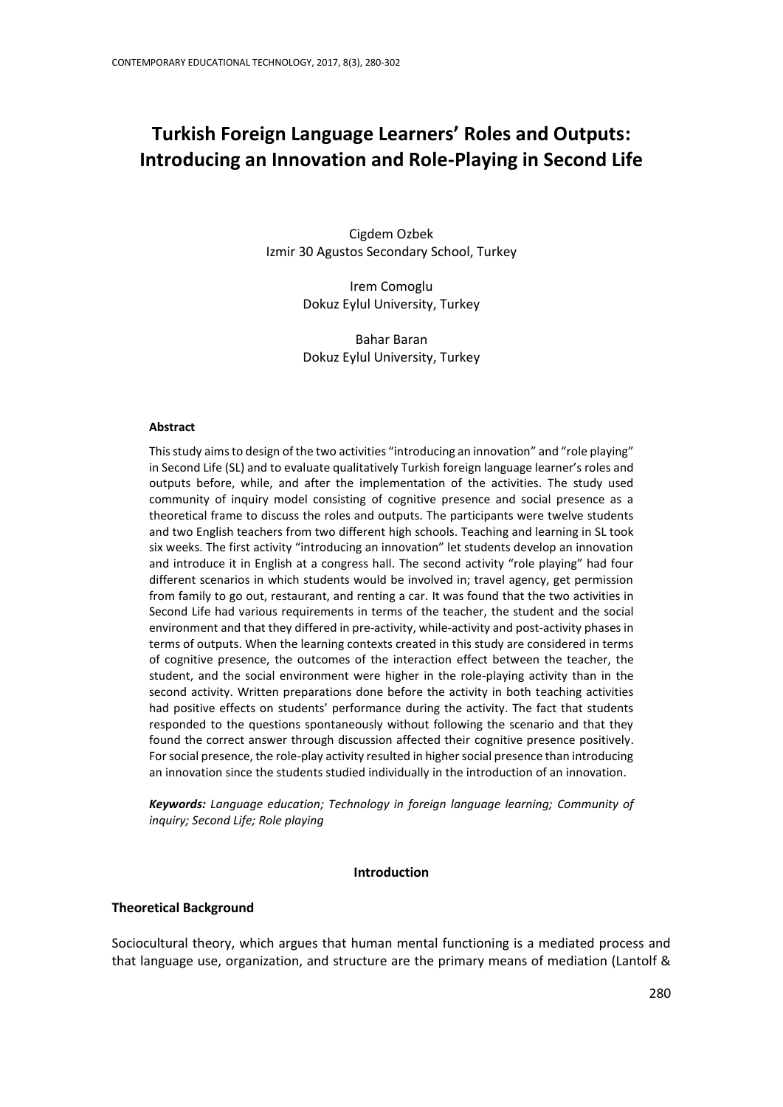# **Turkish Foreign Language Learners' Roles and Outputs: Introducing an Innovation and Role-Playing in Second Life**

Cigdem Ozbek Izmir 30 Agustos Secondary School, Turkey

> Irem Comoglu Dokuz Eylul University, Turkey

> Bahar Baran Dokuz Eylul University, Turkey

#### **Abstract**

This study aims to design of the two activities "introducing an innovation" and "role playing" in Second Life (SL) and to evaluate qualitatively Turkish foreign language learner's roles and outputs before, while, and after the implementation of the activities. The study used community of inquiry model consisting of cognitive presence and social presence as a theoretical frame to discuss the roles and outputs. The participants were twelve students and two English teachers from two different high schools. Teaching and learning in SL took six weeks. The first activity "introducing an innovation" let students develop an innovation and introduce it in English at a congress hall. The second activity "role playing" had four different scenarios in which students would be involved in; travel agency, get permission from family to go out, restaurant, and renting a car. It was found that the two activities in Second Life had various requirements in terms of the teacher, the student and the social environment and that they differed in pre-activity, while-activity and post-activity phases in terms of outputs. When the learning contexts created in this study are considered in terms of cognitive presence, the outcomes of the interaction effect between the teacher, the student, and the social environment were higher in the role-playing activity than in the second activity. Written preparations done before the activity in both teaching activities had positive effects on students' performance during the activity. The fact that students responded to the questions spontaneously without following the scenario and that they found the correct answer through discussion affected their cognitive presence positively. For social presence, the role-play activity resulted in higher social presence than introducing an innovation since the students studied individually in the introduction of an innovation.

*Keywords: Language education; Technology in foreign language learning; Community of inquiry; Second Life; Role playing*

#### **Introduction**

#### **Theoretical Background**

Sociocultural theory, which argues that human mental functioning is a mediated process and that language use, organization, and structure are the primary means of mediation (Lantolf &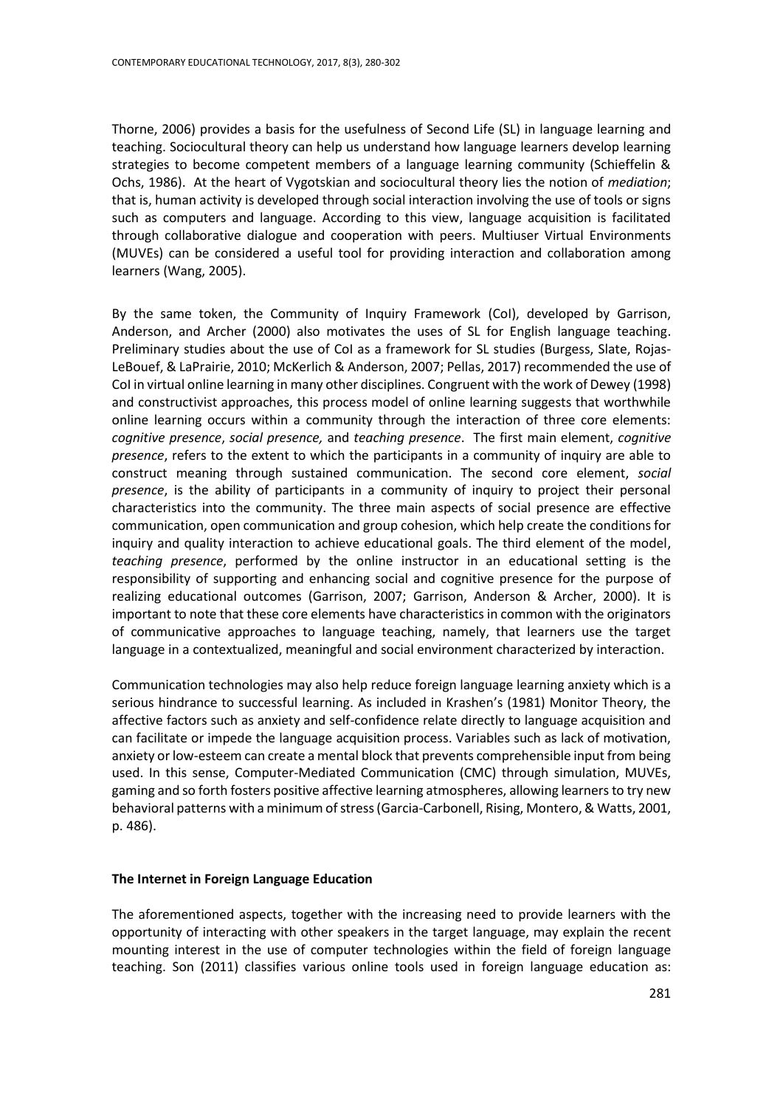Thorne, 2006) provides a basis for the usefulness of Second Life (SL) in language learning and teaching. Sociocultural theory can help us understand how language learners develop learning strategies to become competent members of a language learning community (Schieffelin & Ochs, 1986). At the heart of Vygotskian and sociocultural theory lies the notion of *mediation*; that is, human activity is developed through social interaction involving the use of tools or signs such as computers and language. According to this view, language acquisition is facilitated through collaborative dialogue and cooperation with peers. Multiuser Virtual Environments (MUVEs) can be considered a useful tool for providing interaction and collaboration among learners (Wang, 2005).

By the same token, the Community of Inquiry Framework (CoI), developed by Garrison, Anderson, and Archer (2000) also motivates the uses of SL for English language teaching. Preliminary studies about the use of CoI as a framework for SL studies (Burgess, Slate, Rojas-LeBouef, & LaPrairie, 2010; McKerlich & Anderson, 2007; Pellas, 2017) recommended the use of CoI in virtual online learning in many other disciplines. Congruent with the work of Dewey (1998) and constructivist approaches, this process model of online learning suggests that worthwhile online learning occurs within a community through the interaction of three core elements: *cognitive presence*, *social presence,* and *teaching presence*. The first main element, *cognitive presence*, refers to the extent to which the participants in a community of inquiry are able to construct meaning through sustained communication. The second core element, *social presence*, is the ability of participants in a community of inquiry to project their personal characteristics into the community. The three main aspects of social presence are effective communication, open communication and group cohesion, which help create the conditions for inquiry and quality interaction to achieve educational goals. The third element of the model, *teaching presence*, performed by the online instructor in an educational setting is the responsibility of supporting and enhancing social and cognitive presence for the purpose of realizing educational outcomes (Garrison, 2007; Garrison, Anderson & Archer, 2000). It is important to note that these core elements have characteristics in common with the originators of communicative approaches to language teaching, namely, that learners use the target language in a contextualized, meaningful and social environment characterized by interaction.

Communication technologies may also help reduce foreign language learning anxiety which is a serious hindrance to successful learning. As included in Krashen's (1981) Monitor Theory, the affective factors such as anxiety and self-confidence relate directly to language acquisition and can facilitate or impede the language acquisition process. Variables such as lack of motivation, anxiety or low-esteem can create a mental block that prevents comprehensible input from being used. In this sense, Computer-Mediated Communication (CMC) through simulation, MUVEs, gaming and so forth fosters positive affective learning atmospheres, allowing learners to try new behavioral patterns with a minimum of stress (Garcia-Carbonell, Rising, Montero, & Watts, 2001, p. 486).

#### **The Internet in Foreign Language Education**

The aforementioned aspects, together with the increasing need to provide learners with the opportunity of interacting with other speakers in the target language, may explain the recent mounting interest in the use of computer technologies within the field of foreign language teaching. Son (2011) classifies various online tools used in foreign language education as: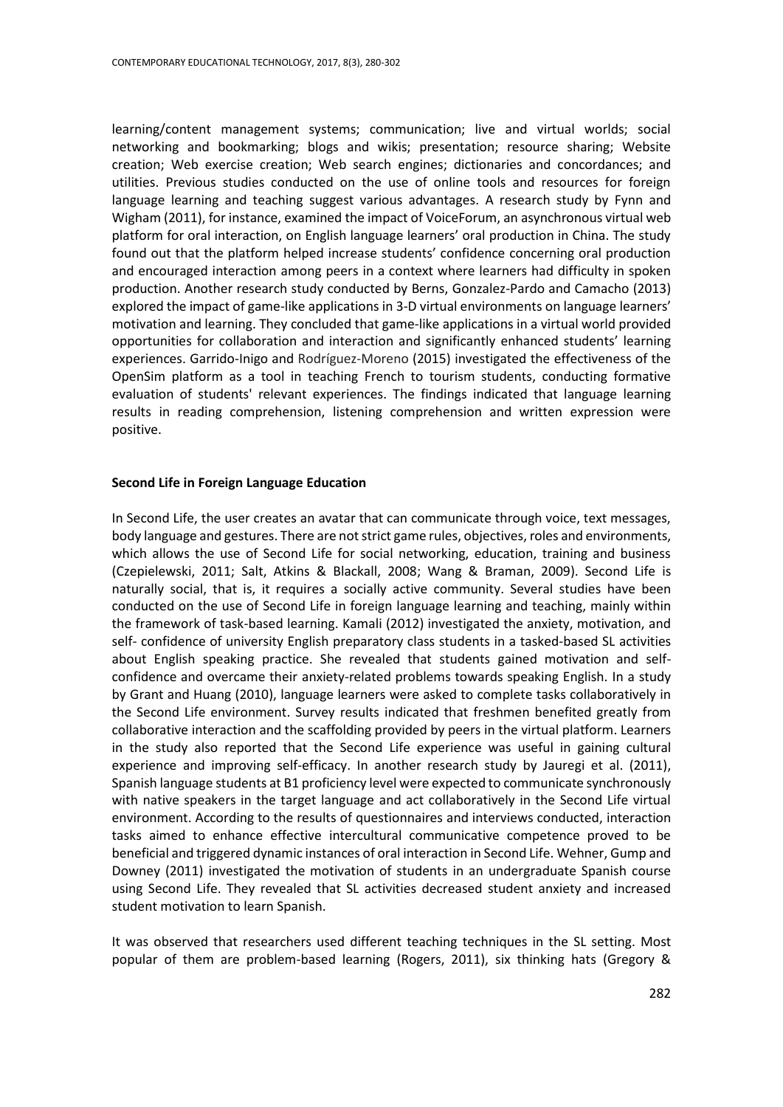learning/content management systems; communication; live and virtual worlds; social networking and bookmarking; blogs and wikis; presentation; resource sharing; Website creation; Web exercise creation; Web search engines; dictionaries and concordances; and utilities. Previous studies conducted on the use of online tools and resources for foreign language learning and teaching suggest various advantages. A research study by Fynn and Wigham (2011), for instance, examined the impact of VoiceForum, an asynchronous virtual web platform for oral interaction, on English language learners' oral production in China. The study found out that the platform helped increase students' confidence concerning oral production and encouraged interaction among peers in a context where learners had difficulty in spoken production. Another research study conducted by Berns, Gonzalez-Pardo and Camacho (2013) explored the impact of game-like applications in 3-D virtual environments on language learners' motivation and learning. They concluded that game-like applications in a virtual world provided opportunities for collaboration and interaction and significantly enhanced students' learning experiences. Garrido-Inigo and Rodríguez-Moreno (2015) investigated the effectiveness of the OpenSim platform as a tool in teaching French to tourism students, conducting formative evaluation of students' relevant experiences. The findings indicated that language learning results in reading comprehension, listening comprehension and written expression were positive.

#### **Second Life in Foreign Language Education**

In Second Life, the user creates an avatar that can communicate through voice, text messages, body language and gestures. There are not strict game rules, objectives, roles and environments, which allows the use of Second Life for social networking, education, training and business (Czepielewski, 2011; Salt, Atkins & Blackall, 2008; Wang & Braman, 2009). Second Life is naturally social, that is, it requires a socially active community. Several studies have been conducted on the use of Second Life in foreign language learning and teaching, mainly within the framework of task-based learning. Kamali (2012) investigated the anxiety, motivation, and self- confidence of university English preparatory class students in a tasked-based SL activities about English speaking practice. She revealed that students gained motivation and selfconfidence and overcame their anxiety-related problems towards speaking English. In a study by Grant and Huang (2010), language learners were asked to complete tasks collaboratively in the Second Life environment. Survey results indicated that freshmen benefited greatly from collaborative interaction and the scaffolding provided by peers in the virtual platform. Learners in the study also reported that the Second Life experience was useful in gaining cultural experience and improving self-efficacy. In another research study by Jauregi et al. (2011), Spanish language students at B1 proficiency level were expected to communicate synchronously with native speakers in the target language and act collaboratively in the Second Life virtual environment. According to the results of questionnaires and interviews conducted, interaction tasks aimed to enhance effective intercultural communicative competence proved to be beneficial and triggered dynamic instances of oral interaction in Second Life. Wehner, Gump and Downey (2011) investigated the motivation of students in an undergraduate Spanish course using Second Life. They revealed that SL activities decreased student anxiety and increased student motivation to learn Spanish.

It was observed that researchers used different teaching techniques in the SL setting. Most popular of them are problem-based learning (Rogers, 2011), six thinking hats (Gregory &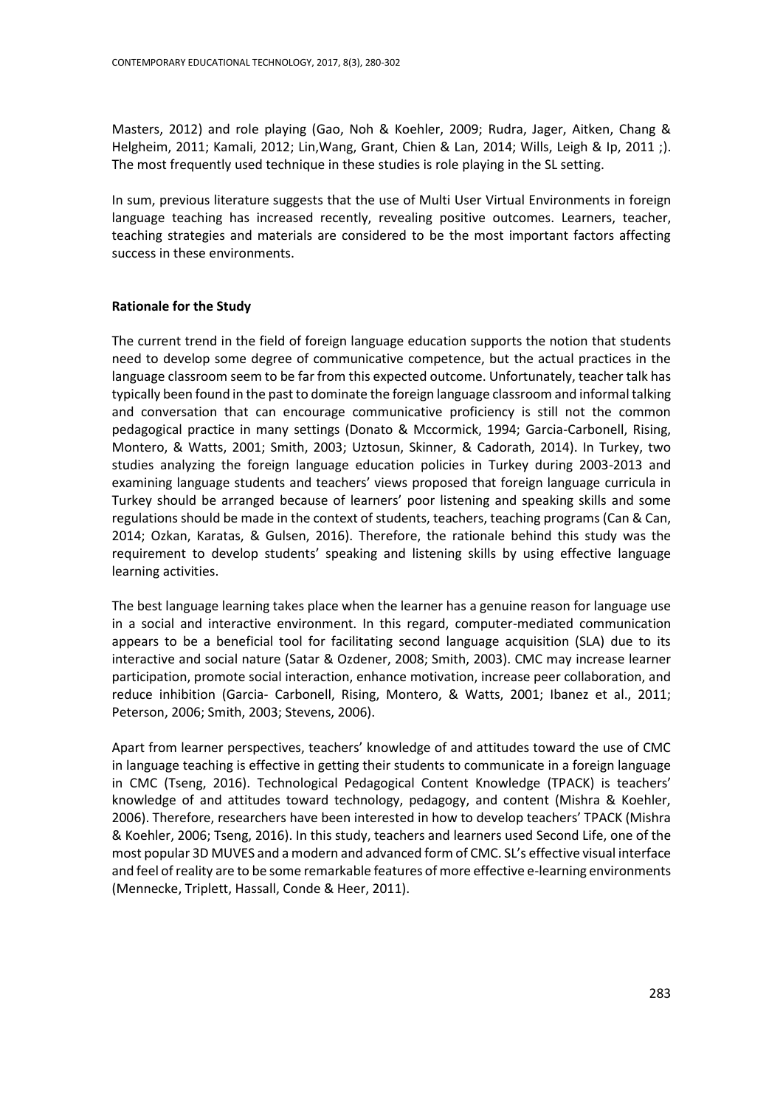Masters, 2012) and role playing (Gao, Noh & Koehler, 2009; Rudra, Jager, Aitken, Chang & Helgheim, 2011; Kamali, 2012; Lin,Wang, Grant, Chien & Lan, 2014; Wills, Leigh & Ip, 2011 ;). The most frequently used technique in these studies is role playing in the SL setting.

In sum, previous literature suggests that the use of Multi User Virtual Environments in foreign language teaching has increased recently, revealing positive outcomes. Learners, teacher, teaching strategies and materials are considered to be the most important factors affecting success in these environments.

# **Rationale for the Study**

The current trend in the field of foreign language education supports the notion that students need to develop some degree of communicative competence, but the actual practices in the language classroom seem to be far from this expected outcome. Unfortunately, teacher talk has typically been found in the past to dominate the foreign language classroom and informal talking and conversation that can encourage communicative proficiency is still not the common pedagogical practice in many settings (Donato & Mccormick, 1994; Garcia-Carbonell, Rising, Montero, & Watts, 2001; Smith, 2003; Uztosun, Skinner, & Cadorath, 2014). In Turkey, two studies analyzing the foreign language education policies in Turkey during 2003-2013 and examining language students and teachers' views proposed that foreign language curricula in Turkey should be arranged because of learners' poor listening and speaking skills and some regulations should be made in the context of students, teachers, teaching programs (Can & Can, 2014; Ozkan, Karatas, & Gulsen, 2016). Therefore, the rationale behind this study was the requirement to develop students' speaking and listening skills by using effective language learning activities.

The best language learning takes place when the learner has a genuine reason for language use in a social and interactive environment. In this regard, computer-mediated communication appears to be a beneficial tool for facilitating second language acquisition (SLA) due to its interactive and social nature (Satar & Ozdener, 2008; Smith, 2003). CMC may increase learner participation, promote social interaction, enhance motivation, increase peer collaboration, and reduce inhibition (Garcia- Carbonell, Rising, Montero, & Watts, 2001; Ibanez et al., 2011; Peterson, 2006; Smith, 2003; Stevens, 2006).

Apart from learner perspectives, teachers' knowledge of and attitudes toward the use of CMC in language teaching is effective in getting their students to communicate in a foreign language in CMC (Tseng, 2016). Technological Pedagogical Content Knowledge (TPACK) is teachers' knowledge of and attitudes toward technology, pedagogy, and content (Mishra & Koehler, 2006). Therefore, researchers have been interested in how to develop teachers' TPACK (Mishra & Koehler, 2006; Tseng, 2016). In this study, teachers and learners used Second Life, one of the most popular 3D MUVES and a modern and advanced form of CMC. SL's effective visual interface and feel of reality are to be some remarkable features of more effective e-learning environments (Mennecke, Triplett, Hassall, Conde & Heer, 2011).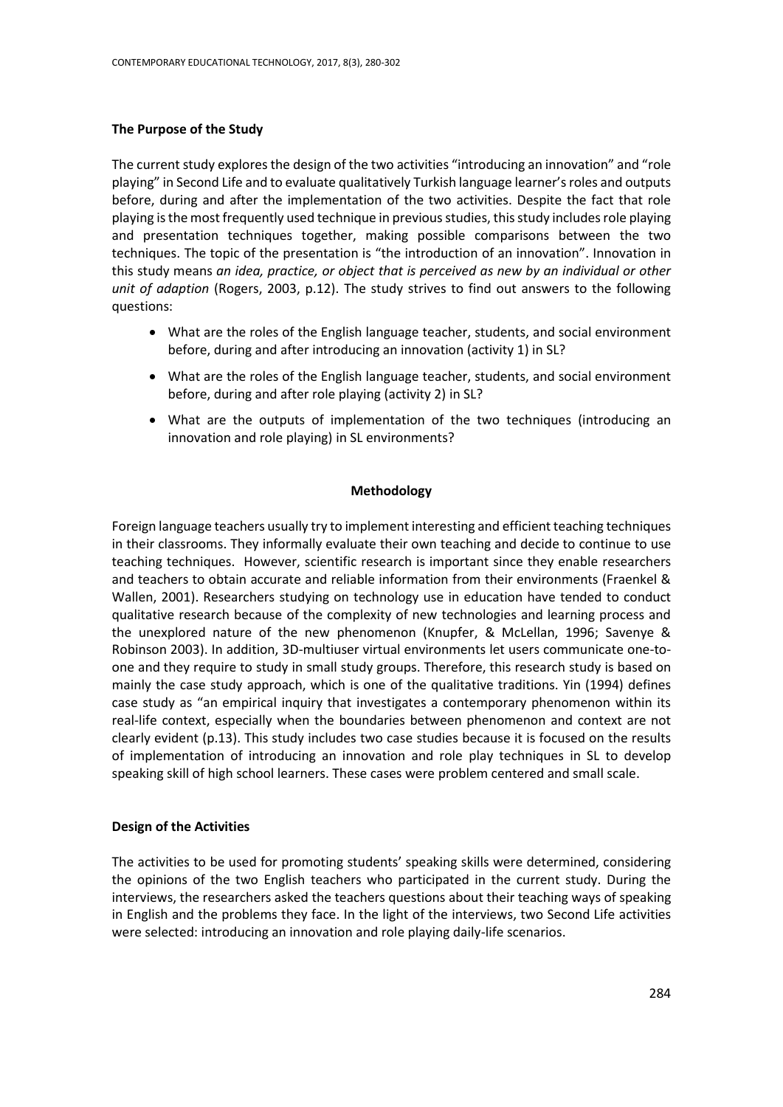## **The Purpose of the Study**

The current study explores the design of the two activities "introducing an innovation" and "role playing" in Second Life and to evaluate qualitatively Turkish language learner's roles and outputs before, during and after the implementation of the two activities. Despite the fact that role playing is the most frequently used technique in previous studies, this study includesrole playing and presentation techniques together, making possible comparisons between the two techniques. The topic of the presentation is "the introduction of an innovation". Innovation in this study means *an idea, practice, or object that is perceived as new by an individual or other unit of adaption* (Rogers, 2003, p.12). The study strives to find out answers to the following questions:

- What are the roles of the English language teacher, students, and social environment before, during and after introducing an innovation (activity 1) in SL?
- What are the roles of the English language teacher, students, and social environment before, during and after role playing (activity 2) in SL?
- What are the outputs of implementation of the two techniques (introducing an innovation and role playing) in SL environments?

#### **Methodology**

Foreign language teachers usually try to implement interesting and efficient teaching techniques in their classrooms. They informally evaluate their own teaching and decide to continue to use teaching techniques. However, scientific research is important since they enable researchers and teachers to obtain accurate and reliable information from their environments (Fraenkel & Wallen, 2001). Researchers studying on technology use in education have tended to conduct qualitative research because of the complexity of new technologies and learning process and the unexplored nature of the new phenomenon (Knupfer, & McLellan, 1996; Savenye & Robinson 2003). In addition, 3D-multiuser virtual environments let users communicate one-toone and they require to study in small study groups. Therefore, this research study is based on mainly the case study approach, which is one of the qualitative traditions. Yin (1994) defines case study as "an empirical inquiry that investigates a contemporary phenomenon within its real-life context, especially when the boundaries between phenomenon and context are not clearly evident (p.13). This study includes two case studies because it is focused on the results of implementation of introducing an innovation and role play techniques in SL to develop speaking skill of high school learners. These cases were problem centered and small scale.

#### **Design of the Activities**

The activities to be used for promoting students' speaking skills were determined, considering the opinions of the two English teachers who participated in the current study. During the interviews, the researchers asked the teachers questions about their teaching ways of speaking in English and the problems they face. In the light of the interviews, two Second Life activities were selected: introducing an innovation and role playing daily-life scenarios.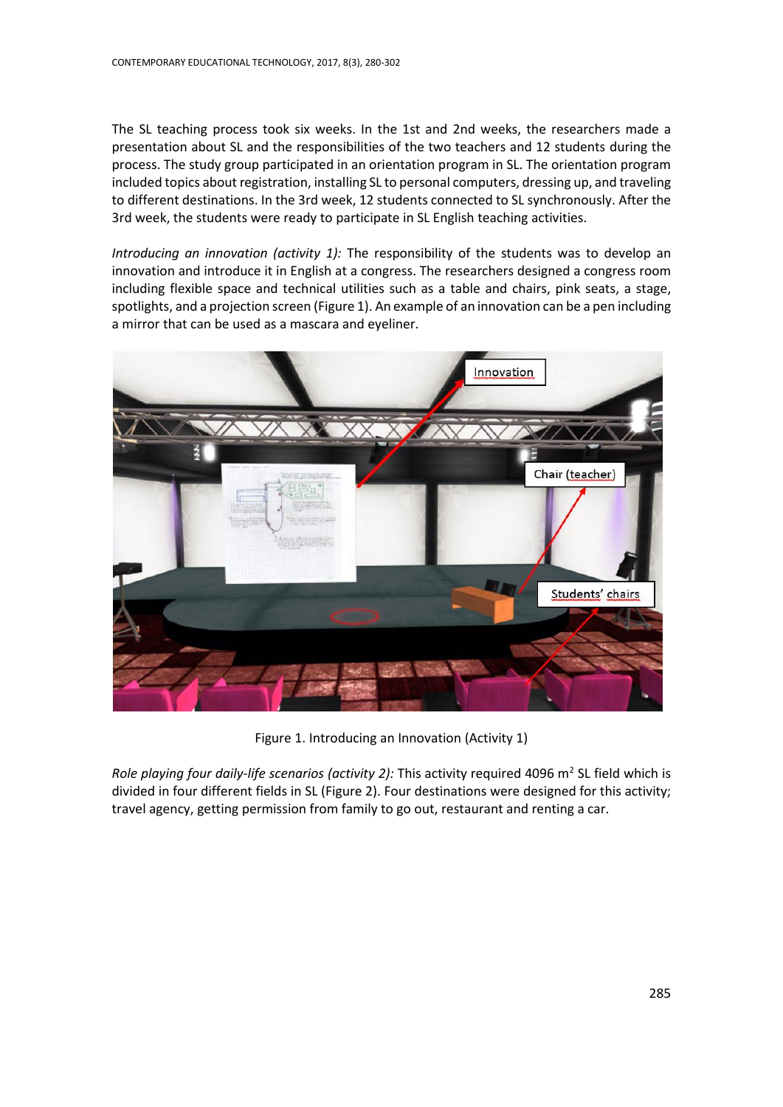The SL teaching process took six weeks. In the 1st and 2nd weeks, the researchers made a presentation about SL and the responsibilities of the two teachers and 12 students during the process. The study group participated in an orientation program in SL. The orientation program included topics about registration, installing SL to personal computers, dressing up, and traveling to different destinations. In the 3rd week, 12 students connected to SL synchronously. After the 3rd week, the students were ready to participate in SL English teaching activities.

*Introducing an innovation (activity 1):* The responsibility of the students was to develop an innovation and introduce it in English at a congress. The researchers designed a congress room including flexible space and technical utilities such as a table and chairs, pink seats, a stage, spotlights, and a projection screen (Figure 1). An example of an innovation can be a pen including a mirror that can be used as a mascara and eyeliner.



Figure 1. Introducing an Innovation (Activity 1)

Role playing four daily-life scenarios (activity 2): This activity required 4096 m<sup>2</sup> SL field which is divided in four different fields in SL (Figure 2). Four destinations were designed for this activity; travel agency, getting permission from family to go out, restaurant and renting a car.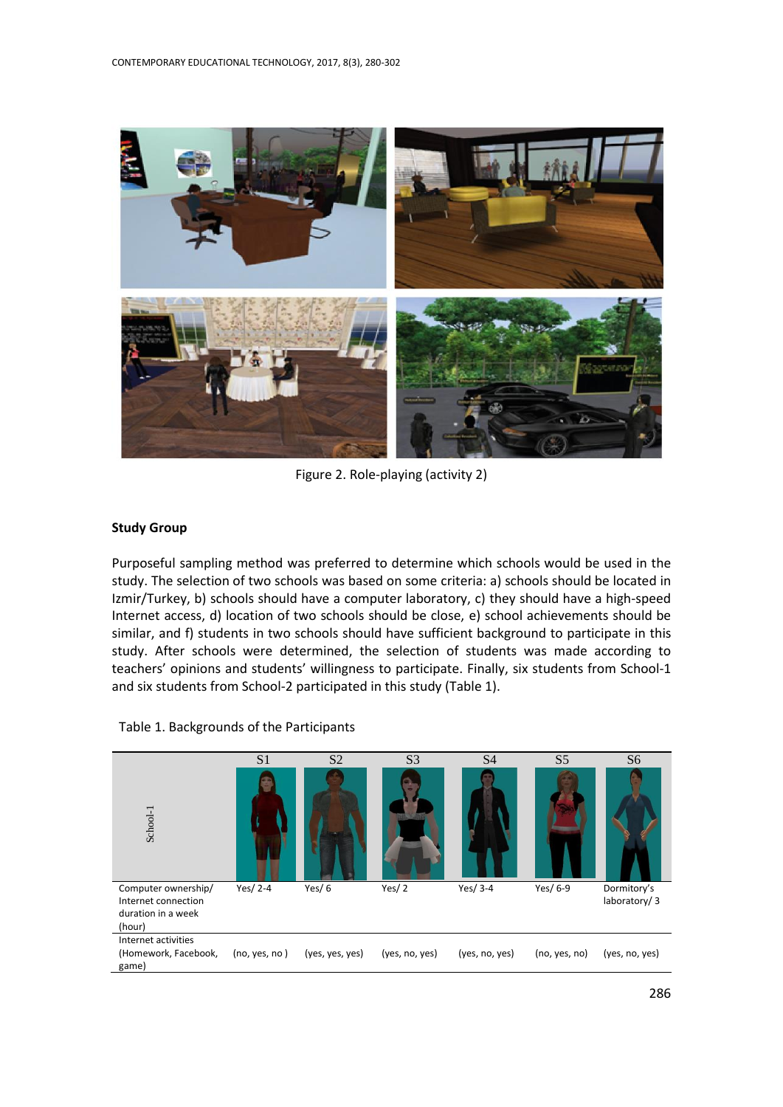

Figure 2. Role-playing (activity 2)

# **Study Group**

Purposeful sampling method was preferred to determine which schools would be used in the study. The selection of two schools was based on some criteria: a) schools should be located in Izmir/Turkey, b) schools should have a computer laboratory, c) they should have a high-speed Internet access, d) location of two schools should be close, e) school achievements should be similar, and f) students in two schools should have sufficient background to participate in this study. After schools were determined, the selection of students was made according to teachers' opinions and students' willingness to participate. Finally, six students from School-1 and six students from School-2 participated in this study (Table 1).



#### Table 1. Backgrounds of the Participants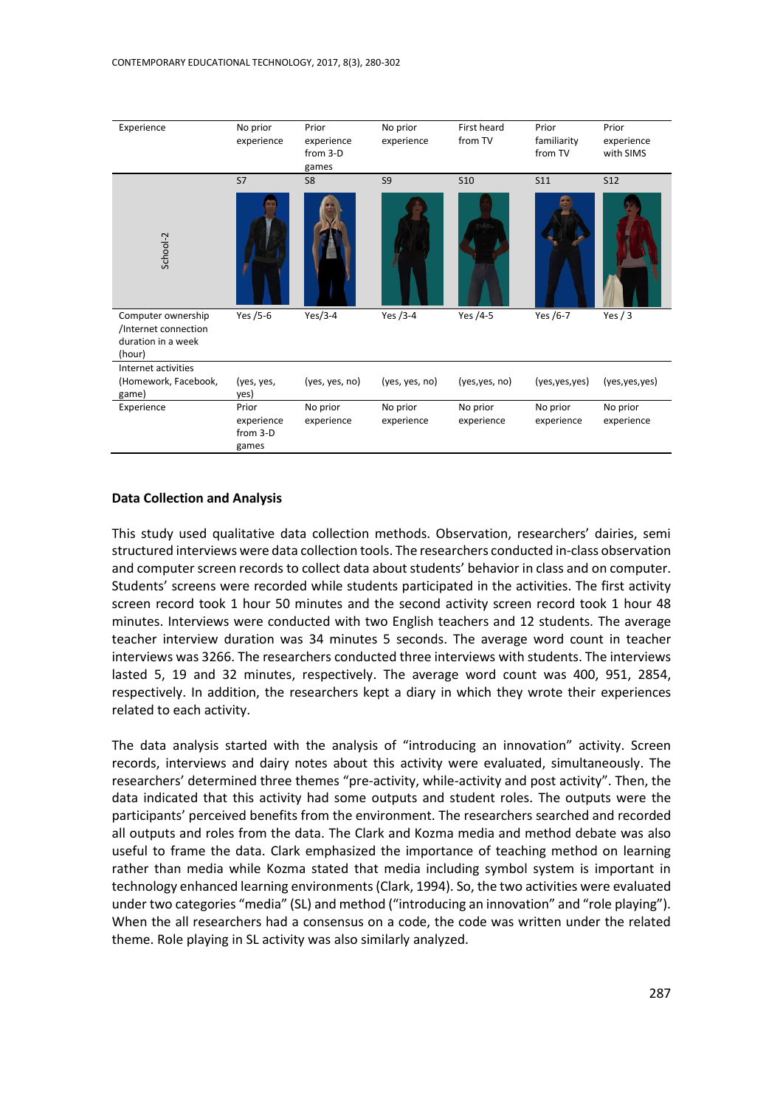

#### **Data Collection and Analysis**

This study used qualitative data collection methods. Observation, researchers' dairies, semi structured interviews were data collection tools. The researchers conducted in-class observation and computer screen records to collect data about students' behavior in class and on computer. Students' screens were recorded while students participated in the activities. The first activity screen record took 1 hour 50 minutes and the second activity screen record took 1 hour 48 minutes. Interviews were conducted with two English teachers and 12 students. The average teacher interview duration was 34 minutes 5 seconds. The average word count in teacher interviews was 3266. The researchers conducted three interviews with students. The interviews lasted 5, 19 and 32 minutes, respectively. The average word count was 400, 951, 2854, respectively. In addition, the researchers kept a diary in which they wrote their experiences related to each activity.

The data analysis started with the analysis of "introducing an innovation" activity. Screen records, interviews and dairy notes about this activity were evaluated, simultaneously. The researchers' determined three themes "pre-activity, while-activity and post activity". Then, the data indicated that this activity had some outputs and student roles. The outputs were the participants' perceived benefits from the environment. The researchers searched and recorded all outputs and roles from the data. The Clark and Kozma media and method debate was also useful to frame the data. Clark emphasized the importance of teaching method on learning rather than media while Kozma stated that media including symbol system is important in technology enhanced learning environments (Clark, 1994). So, the two activities were evaluated under two categories "media" (SL) and method ("introducing an innovation" and "role playing"). When the all researchers had a consensus on a code, the code was written under the related theme. Role playing in SL activity was also similarly analyzed.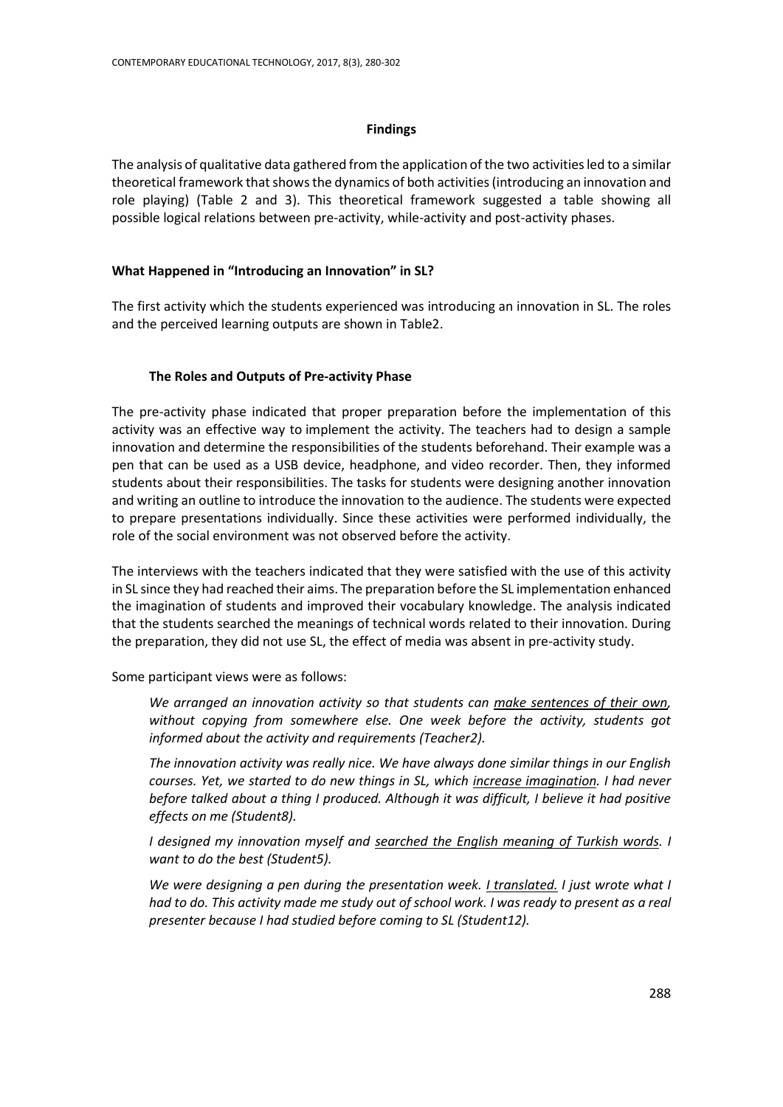#### **Findings**

The analysis of qualitative data gathered from the application of the two activities led to a similar theoretical framework that shows the dynamics of both activities (introducing an innovation and role playing) (Table 2 and 3). This theoretical framework suggested a table showing all possible [logical](http://en.wikipedia.org/wiki/Logic) relations between pre-activity, while-activity and post-activity phases.

#### **What Happened in "Introducing an Innovation" in SL?**

The first activity which the students experienced was introducing an innovation in SL. The roles and the perceived learning outputs are shown in Table2.

#### **The Roles and Outputs of Pre-activity Phase**

The pre-activity phase indicated that proper preparation before the implementation of this activity was an effective way to implement the activity. The teachers had to design a sample innovation and determine the responsibilities of the students beforehand. Their example was a pen that can be used as a USB device, headphone, and video recorder. Then, they informed students about their responsibilities. The tasks for students were designing another innovation and writing an outline to introduce the innovation to the audience. The students were expected to prepare presentations individually. Since these activities were performed individually, the role of the social environment was not observed before the activity.

The interviews with the teachers indicated that they were satisfied with the use of this activity in SL since they had reached their aims. The preparation before the SL implementation enhanced the imagination of students and improved their vocabulary knowledge. The analysis indicated that the students searched the meanings of technical words related to their innovation. During the preparation, they did not use SL, the effect of media was absent in pre-activity study.

Some participant views were as follows:

*We arranged an innovation activity so that students can make sentences of their own, without copying from somewhere else. One week before the activity, students got informed about the activity and requirements (Teacher2).*

*The innovation activity was really nice. We have always done similar things in our English courses. Yet, we started to do new things in SL, which increase imagination. I had never before talked about a thing I produced. Although it was difficult, I believe it had positive effects on me (Student8).*

*I designed my innovation myself and searched the English meaning of Turkish words. I want to do the best (Student5).*

*We were designing a pen during the presentation week. I translated. I just wrote what I had to do. This activity made me study out of school work. I was ready to present as a real presenter because I had studied before coming to SL (Student12).*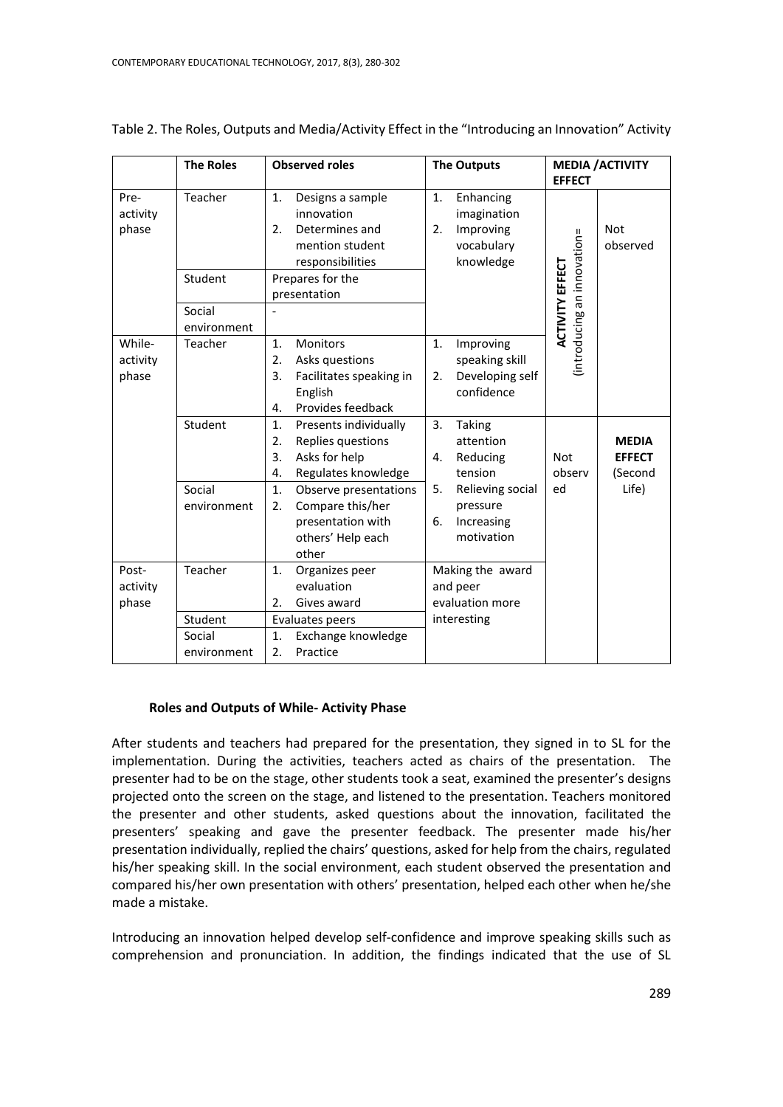|                             | <b>The Roles</b>                 | <b>Observed roles</b>                                                                                                | <b>The Outputs</b>                                                           | <b>MEDIA / ACTIVITY</b><br><b>EFFECT</b>                         |  |
|-----------------------------|----------------------------------|----------------------------------------------------------------------------------------------------------------------|------------------------------------------------------------------------------|------------------------------------------------------------------|--|
| Pre-<br>activity<br>phase   | Teacher                          | 1.<br>Designs a sample<br>innovation<br>Determines and<br>2.<br>mention student<br>responsibilities                  | 1.<br>Enhancing<br>imagination<br>Improving<br>2.<br>vocabulary<br>knowledge | <b>Not</b><br>lintroducing an innovation=<br>observed            |  |
|                             | Student                          | Prepares for the<br>presentation                                                                                     |                                                                              |                                                                  |  |
|                             | Social<br>environment            |                                                                                                                      |                                                                              | <b>ACTIVITY EFFECT</b>                                           |  |
| While-<br>activity<br>phase | Teacher                          | <b>Monitors</b><br>1.<br>Asks questions<br>2.<br>3.<br>Facilitates speaking in<br>English<br>Provides feedback<br>4. | 1.<br>Improving<br>speaking skill<br>Developing self<br>2.<br>confidence     |                                                                  |  |
|                             | Student                          | 1.<br>Presents individually<br>Replies questions<br>2.<br>3.<br>Asks for help<br>Regulates knowledge<br>4.           | 3.<br>Taking<br>attention<br>Reducing<br>4.<br>tension                       | <b>MEDIA</b><br><b>Not</b><br><b>EFFECT</b><br>observ<br>(Second |  |
|                             | Social<br>environment            | $\mathbf{1}$ .<br>Observe presentations<br>Compare this/her<br>2.<br>presentation with<br>others' Help each<br>other | Relieving social<br>5.<br>pressure<br>Increasing<br>6.<br>motivation         | Life)<br>ed                                                      |  |
| Post-<br>activity<br>phase  | Teacher                          | 1.<br>Organizes peer<br>evaluation<br>Gives award<br>2.                                                              | Making the award<br>and peer<br>evaluation more                              |                                                                  |  |
|                             | Student<br>Social<br>environment | Evaluates peers<br>Exchange knowledge<br>1.<br>2.<br>Practice                                                        | interesting                                                                  |                                                                  |  |

Table 2. The Roles, Outputs and Media/Activity Effect in the "Introducing an Innovation" Activity

# **Roles and Outputs of While- Activity Phase**

After students and teachers had prepared for the presentation, they signed in to SL for the implementation. During the activities, teachers acted as chairs of the presentation. The presenter had to be on the stage, other students took a seat, examined the presenter's designs projected onto the screen on the stage, and listened to the presentation. Teachers monitored the presenter and other students, asked questions about the innovation, facilitated the presenters' speaking and gave the presenter feedback. The presenter made his/her presentation individually, replied the chairs' questions, asked for help from the chairs, regulated his/her speaking skill. In the social environment, each student observed the presentation and compared his/her own presentation with others' presentation, helped each other when he/she made a mistake.

Introducing an innovation helped develop self-confidence and improve speaking skills such as comprehension and pronunciation. In addition, the findings indicated that the use of SL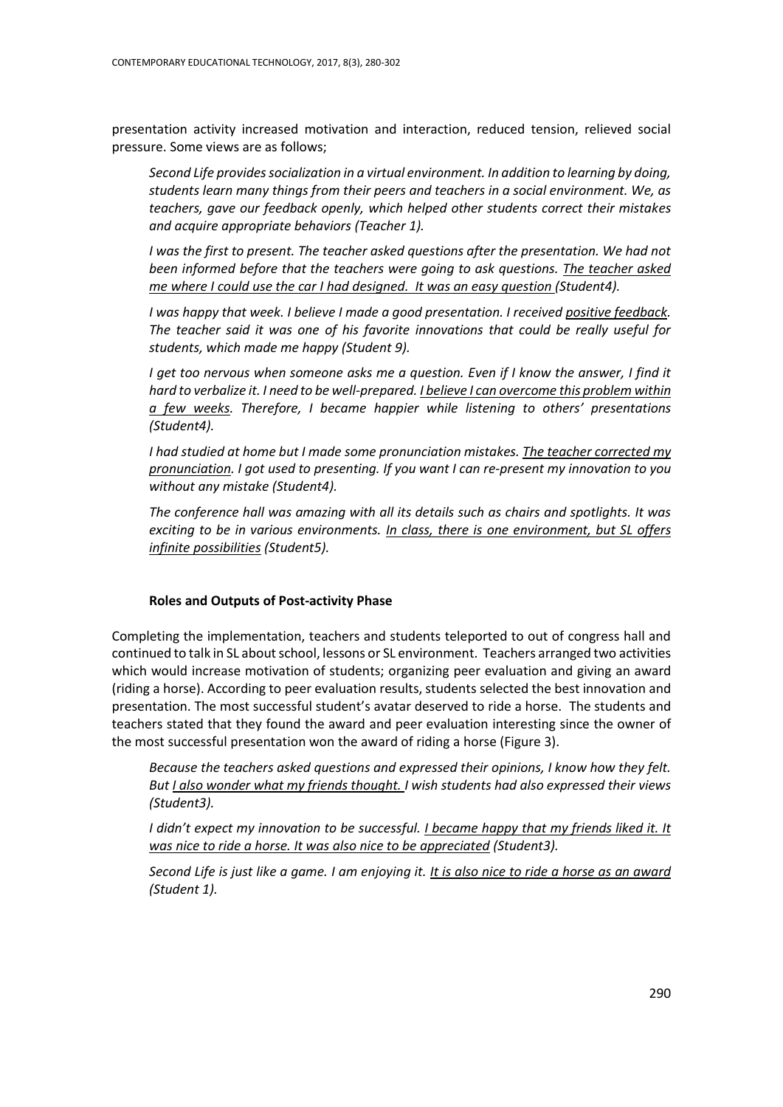presentation activity increased motivation and interaction, reduced tension, relieved social pressure. Some views are as follows;

*Second Life provides socialization in a virtual environment. In addition to learning by doing, students learn many things from their peers and teachers in a social environment. We, as teachers, gave our feedback openly, which helped other students correct their mistakes and acquire appropriate behaviors (Teacher 1).* 

*I* was the first to present. The teacher asked questions after the presentation. We had not *been informed before that the teachers were going to ask questions. The teacher asked me where I could use the car I had designed. It was an easy question (Student4).*

*I was happy that week. I believe I made a good presentation. I received positive feedback. The teacher said it was one of his favorite innovations that could be really useful for students, which made me happy (Student 9).*

*I get too nervous when someone asks me a question. Even if I know the answer, I find it hard to verbalize it. I need to be well-prepared. I believe I can overcome this problem within a few weeks. Therefore, I became happier while listening to others' presentations (Student4).*

*I had studied at home but I made some pronunciation mistakes. The teacher corrected my pronunciation. I got used to presenting. If you want I can re-present my innovation to you without any mistake (Student4).*

*The conference hall was amazing with all its details such as chairs and spotlights. It was exciting to be in various environments. In class, there is one environment, but SL offers infinite possibilities (Student5).* 

#### **Roles and Outputs of Post-activity Phase**

Completing the implementation, teachers and students teleported to out of congress hall and continued to talk in SL about school, lessons or SL environment. Teachers arranged two activities which would increase motivation of students; organizing peer evaluation and giving an award (riding a horse). According to peer evaluation results, students selected the best innovation and presentation. The most successful student's avatar deserved to ride a horse. The students and teachers stated that they found the award and peer evaluation interesting since the owner of the most successful presentation won the award of riding a horse (Figure 3).

*Because the teachers asked questions and expressed their opinions, I know how they felt. But I also wonder what my friends thought. I wish students had also expressed their views (Student3).* 

*I didn't expect my innovation to be successful. I became happy that my friends liked it. It was nice to ride a horse. It was also nice to be appreciated (Student3).*

*Second Life is just like a game. I am enjoying it. It is also nice to ride a horse as an award (Student 1).*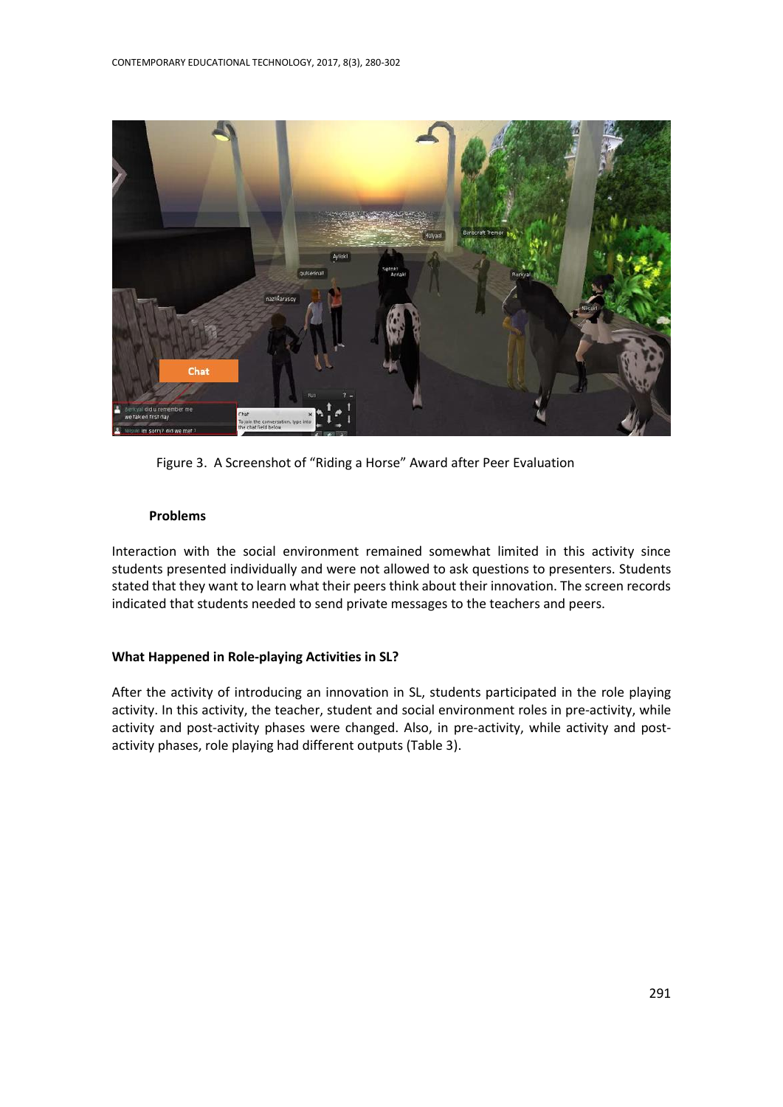

Figure 3. A Screenshot of "Riding a Horse" Award after Peer Evaluation

#### **Problems**

Interaction with the social environment remained somewhat limited in this activity since students presented individually and were not allowed to ask questions to presenters. Students stated that they want to learn what their peers think about their innovation. The screen records indicated that students needed to send private messages to the teachers and peers.

#### **What Happened in Role-playing Activities in SL?**

After the activity of introducing an innovation in SL, students participated in the role playing activity. In this activity, the teacher, student and social environment roles in pre-activity, while activity and post-activity phases were changed. Also, in pre-activity, while activity and postactivity phases, role playing had different outputs (Table 3).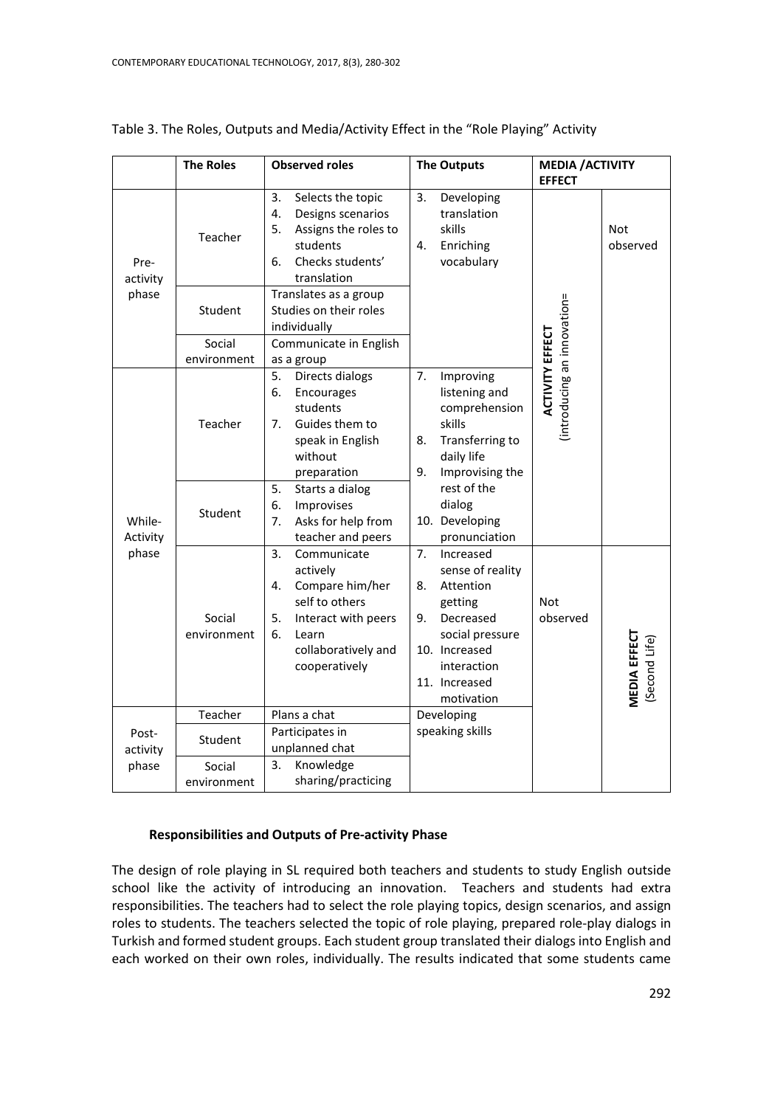|                             | <b>The Roles</b>      | <b>Observed roles</b>                                                                                                                                        | <b>The Outputs</b>                                                                                                                                                     | <b>MEDIA / ACTIVITY</b><br><b>EFFECT</b>             |                                       |
|-----------------------------|-----------------------|--------------------------------------------------------------------------------------------------------------------------------------------------------------|------------------------------------------------------------------------------------------------------------------------------------------------------------------------|------------------------------------------------------|---------------------------------------|
| Pre-<br>activity<br>phase   | Teacher               | 3.<br>Selects the topic<br>4.<br>Designs scenarios<br>5.<br>Assigns the roles to<br>students<br>6.<br>Checks students'<br>translation                        | 3.<br>Developing<br>translation<br>skills<br>4.<br>Enriching<br>vocabulary                                                                                             |                                                      | Not<br>observed                       |
|                             | Student               | Translates as a group<br>Studies on their roles<br>individually                                                                                              |                                                                                                                                                                        |                                                      |                                       |
|                             | Social<br>environment | Communicate in English<br>as a group                                                                                                                         |                                                                                                                                                                        |                                                      |                                       |
| While-<br>Activity<br>phase | Teacher               | Directs dialogs<br>5.<br>6.<br>Encourages<br>students<br>7.<br>Guides them to<br>speak in English<br>without<br>preparation                                  | 7.<br>Improving<br>listening and<br>comprehension<br>skills<br>8.<br>Transferring to<br>daily life<br>9.<br>Improvising the                                            | introducing an innovation=<br><b>ACTIVITY EFFECT</b> |                                       |
|                             | Student               | 5.<br>Starts a dialog<br>6.<br>Improvises<br>7.<br>Asks for help from<br>teacher and peers                                                                   | rest of the<br>dialog<br>10. Developing<br>pronunciation                                                                                                               |                                                      |                                       |
|                             | Social<br>environment | 3.<br>Communicate<br>actively<br>Compare him/her<br>4.<br>self to others<br>5.<br>Interact with peers<br>6.<br>Learn<br>collaboratively and<br>cooperatively | Increased<br>7.<br>sense of reality<br>Attention<br>8.<br>getting<br>Decreased<br>9.<br>social pressure<br>10. Increased<br>interaction<br>11. Increased<br>motivation | <b>Not</b><br>observed                               | <b>VIEDIA EFFECT</b><br>(Second Life) |
|                             | Teacher               | Plans a chat                                                                                                                                                 | Developing                                                                                                                                                             |                                                      |                                       |
| Post-<br>activity           | Student               | Participates in<br>unplanned chat                                                                                                                            | speaking skills                                                                                                                                                        |                                                      |                                       |
| phase                       | Social<br>environment | 3.<br>Knowledge<br>sharing/practicing                                                                                                                        |                                                                                                                                                                        |                                                      |                                       |

## Table 3. The Roles, Outputs and Media/Activity Effect in the "Role Playing" Activity

#### **Responsibilities and Outputs of Pre-activity Phase**

The design of role playing in SL required both teachers and students to study English outside school like the activity of introducing an innovation. Teachers and students had extra responsibilities. The teachers had to select the role playing topics, design scenarios, and assign roles to students. The teachers selected the topic of role playing, prepared role-play dialogs in Turkish and formed student groups. Each student group translated their dialogs into English and each worked on their own roles, individually. The results indicated that some students came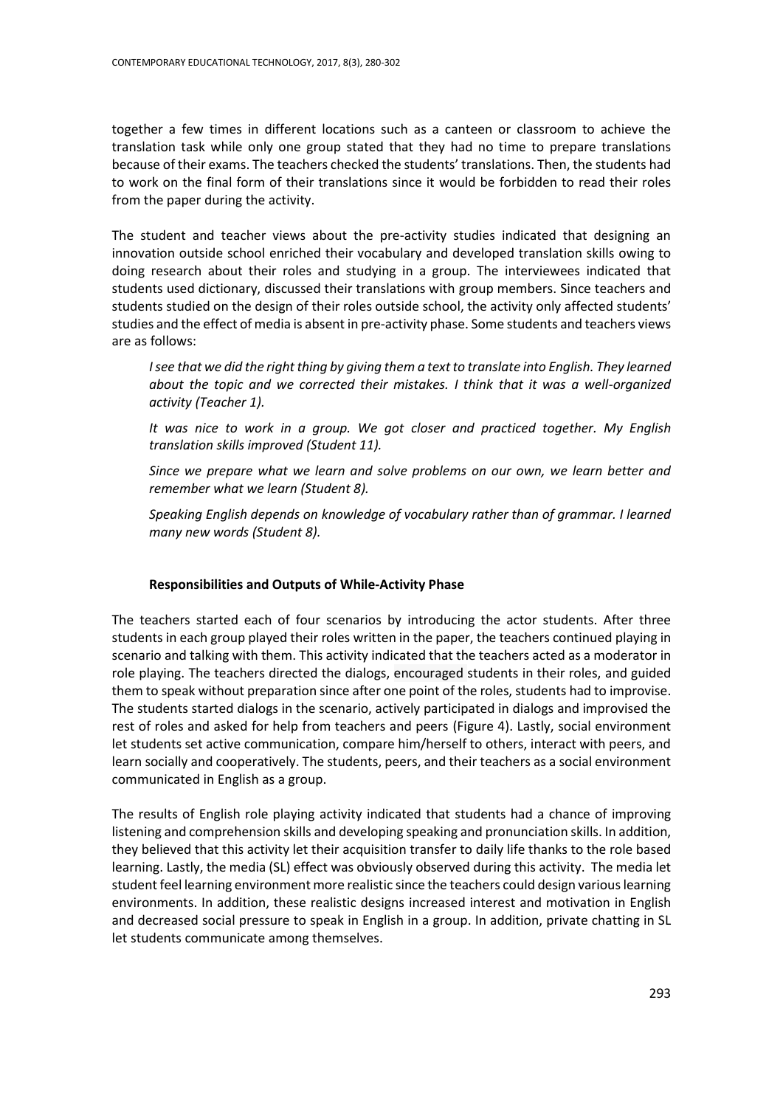together a few times in different locations such as a canteen or classroom to achieve the translation task while only one group stated that they had no time to prepare translations because of their exams. The teachers checked the students' translations. Then, the students had to work on the final form of their translations since it would be forbidden to read their roles from the paper during the activity.

The student and teacher views about the pre-activity studies indicated that designing an innovation outside school enriched their vocabulary and developed translation skills owing to doing research about their roles and studying in a group. The interviewees indicated that students used dictionary, discussed their translations with group members. Since teachers and students studied on the design of their roles outside school, the activity only affected students' studies and the effect of media is absent in pre-activity phase. Some students and teachers views are as follows:

*I* see that we did the right thing by giving them a text to translate into English. They learned *about the topic and we corrected their mistakes. I think that it was a well-organized activity (Teacher 1).*

*It was nice to work in a group. We got closer and practiced together. My English translation skills improved (Student 11).* 

*Since we prepare what we learn and solve problems on our own, we learn better and remember what we learn (Student 8).*

*Speaking English depends on knowledge of vocabulary rather than of grammar. I learned many new words (Student 8).*

# **Responsibilities and Outputs of While-Activity Phase**

The teachers started each of four scenarios by introducing the actor students. After three students in each group played their roles written in the paper, the teachers continued playing in scenario and talking with them. This activity indicated that the teachers acted as a moderator in role playing. The teachers directed the dialogs, encouraged students in their roles, and guided them to speak without preparation since after one point of the roles, students had to improvise. The students started dialogs in the scenario, actively participated in dialogs and improvised the rest of roles and asked for help from teachers and peers (Figure 4). Lastly, social environment let students set active communication, compare him/herself to others, interact with peers, and learn socially and cooperatively. The students, peers, and their teachers as a social environment communicated in English as a group.

The results of English role playing activity indicated that students had a chance of improving listening and comprehension skills and developing speaking and pronunciation skills. In addition, they believed that this activity let their acquisition transfer to daily life thanks to the role based learning. Lastly, the media (SL) effect was obviously observed during this activity. The media let student feel learning environment more realistic since the teachers could design various learning environments. In addition, these realistic designs increased interest and motivation in English and decreased social pressure to speak in English in a group. In addition, private chatting in SL let students communicate among themselves.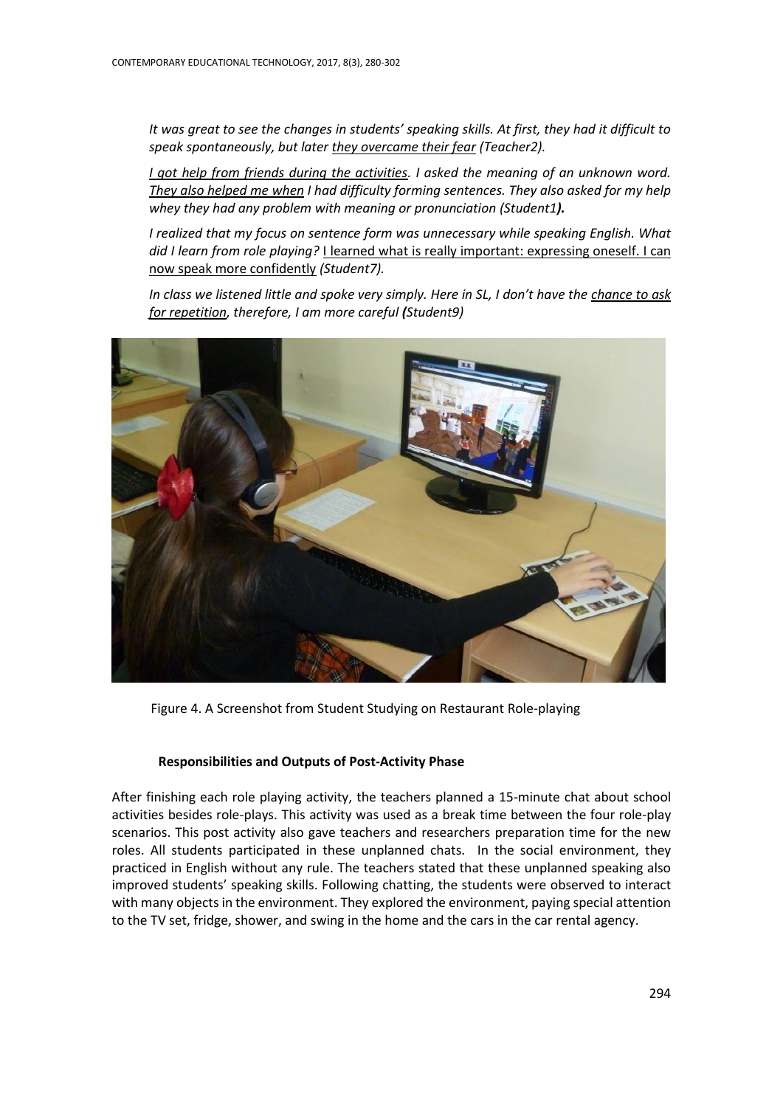*It was great to see the changes in students' speaking skills. At first, they had it difficult to speak spontaneously, but later they overcame their fear (Teacher2).*

*I got help from friends during the activities. I asked the meaning of an unknown word. They also helped me when I had difficulty forming sentences. They also asked for my help whey they had any problem with meaning or pronunciation (Student1).*

*I realized that my focus on sentence form was unnecessary while speaking English. What did I learn from role playing?* I learned what is really important: expressing oneself. I can now speak more confidently *(Student7).*

*In class we listened little and spoke very simply. Here in SL, I don't have the chance to ask for repetition, therefore, I am more careful (Student9)*



Figure 4. A Screenshot from Student Studying on Restaurant Role-playing

#### **Responsibilities and Outputs of Post-Activity Phase**

After finishing each role playing activity, the teachers planned a 15-minute chat about school activities besides role-plays. This activity was used as a break time between the four role-play scenarios. This post activity also gave teachers and researchers preparation time for the new roles. All students participated in these unplanned chats. In the social environment, they practiced in English without any rule. The teachers stated that these unplanned speaking also improved students' speaking skills. Following chatting, the students were observed to interact with many objects in the environment. They explored the environment, paying special attention to the TV set, fridge, shower, and swing in the home and the cars in the car rental agency.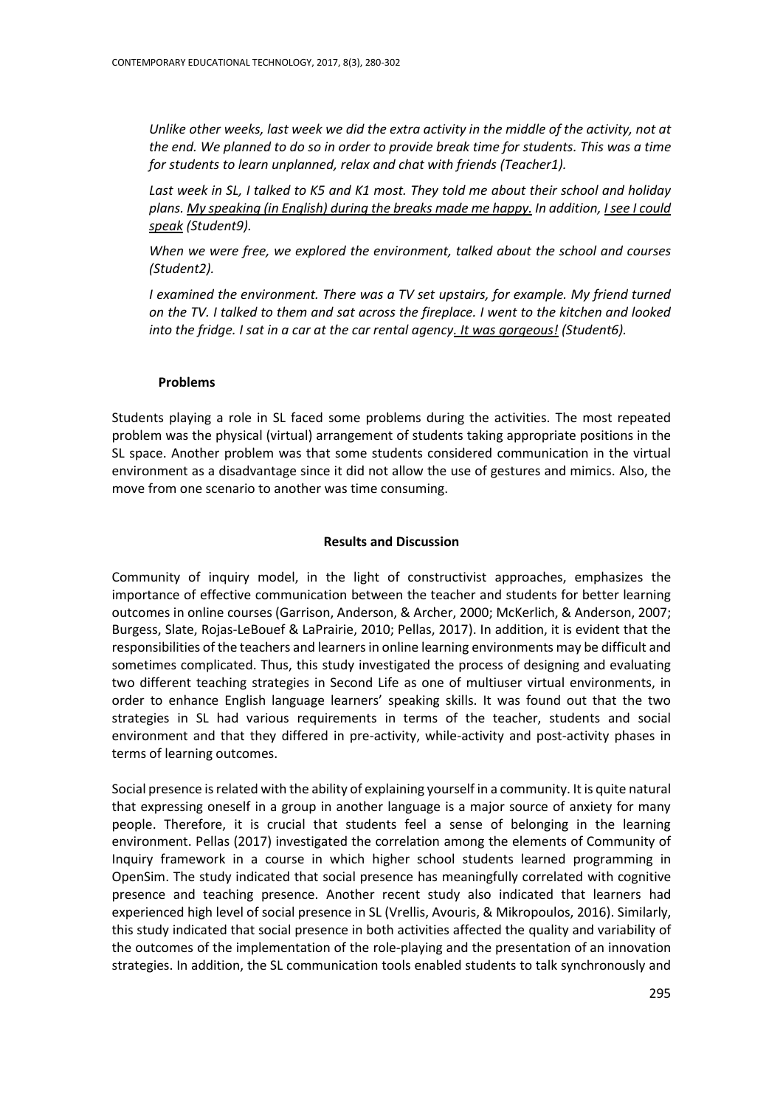*Unlike other weeks, last week we did the extra activity in the middle of the activity, not at the end. We planned to do so in order to provide break time for students. This was a time for students to learn unplanned, relax and chat with friends (Teacher1).*

*Last week in SL, I talked to K5 and K1 most. They told me about their school and holiday plans. My speaking (in English) during the breaks made me happy. In addition, I see I could speak (Student9).*

*When we were free, we explored the environment, talked about the school and courses (Student2).*

*I examined the environment. There was a TV set upstairs, for example. My friend turned on the TV. I talked to them and sat across the fireplace. I went to the kitchen and looked into the fridge. I sat in a car at the car rental agency. It was gorgeous! (Student6).*

#### **Problems**

Students playing a role in SL faced some problems during the activities. The most repeated problem was the physical (virtual) arrangement of students taking appropriate positions in the SL space. Another problem was that some students considered communication in the virtual environment as a disadvantage since it did not allow the use of gestures and mimics. Also, the move from one scenario to another was time consuming.

#### **Results and Discussion**

Community of inquiry model, in the light of constructivist approaches, emphasizes the importance of effective communication between the teacher and students for better learning outcomes in online courses (Garrison, Anderson, & Archer, 2000; McKerlich, & Anderson, 2007; Burgess, Slate, Rojas-LeBouef & LaPrairie, 2010; Pellas, 2017). In addition, it is evident that the responsibilities of the teachers and learners in online learning environments may be difficult and sometimes complicated. Thus, this study investigated the process of designing and evaluating two different teaching strategies in Second Life as one of multiuser virtual environments, in order to enhance English language learners' speaking skills. It was found out that the two strategies in SL had various requirements in terms of the teacher, students and social environment and that they differed in pre-activity, while-activity and post-activity phases in terms of learning outcomes.

Social presence is related with the ability of explaining yourself in a community. It is quite natural that expressing oneself in a group in another language is a major source of anxiety for many people. Therefore, it is crucial that students feel a sense of belonging in the learning environment. Pellas (2017) investigated the correlation among the elements of Community of Inquiry framework in a course in which higher school students learned programming in OpenSim. The study indicated that social presence has meaningfully correlated with cognitive presence and teaching presence. Another recent study also indicated that learners had experienced high level of social presence in SL (Vrellis, Avouris, & Mikropoulos, 2016). Similarly, this study indicated that social presence in both activities affected the quality and variability of the outcomes of the implementation of the role-playing and the presentation of an innovation strategies. In addition, the SL communication tools enabled students to talk synchronously and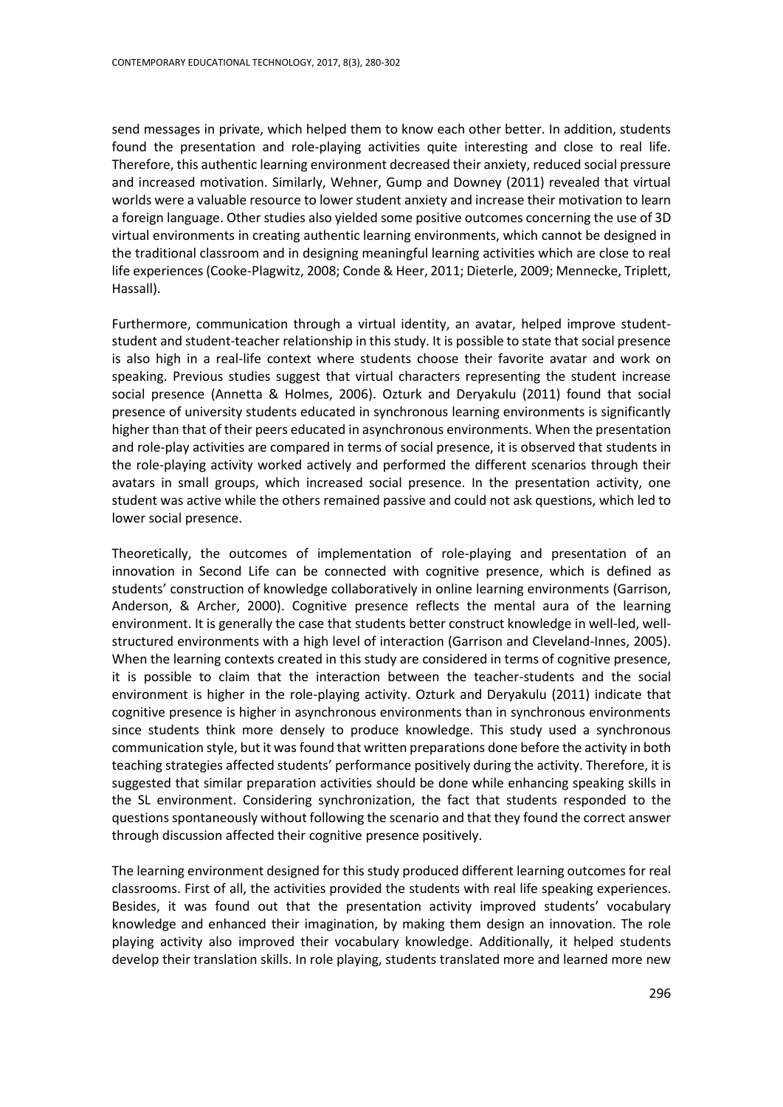send messages in private, which helped them to know each other better. In addition, students found the presentation and role-playing activities quite interesting and close to real life. Therefore, this authentic learning environment decreased their anxiety, reduced social pressure and increased motivation. Similarly, Wehner, Gump and Downey (2011) revealed that virtual worlds were a valuable resource to lower student anxiety and increase their motivation to learn a foreign language. Other studies also yielded some positive outcomes concerning the use of 3D virtual environments in creating authentic learning environments, which cannot be designed in the traditional classroom and in designing meaningful learning activities which are close to real life experiences (Cooke-Plagwitz, 2008; Conde & Heer, 2011; Dieterle, 2009; Mennecke, Triplett, Hassall).

Furthermore, communication through a virtual identity, an avatar, helped improve studentstudent and student-teacher relationship in this study. It is possible to state that social presence is also high in a real-life context where students choose their favorite avatar and work on speaking. Previous studies suggest that virtual characters representing the student increase social presence (Annetta & Holmes, 2006). Ozturk and Deryakulu (2011) found that social presence of university students educated in synchronous learning environments is significantly higher than that of their peers educated in asynchronous environments. When the presentation and role-play activities are compared in terms of social presence, it is observed that students in the role-playing activity worked actively and performed the different scenarios through their avatars in small groups, which increased social presence. In the presentation activity, one student was active while the others remained passive and could not ask questions, which led to lower social presence.

Theoretically, the outcomes of implementation of role-playing and presentation of an innovation in Second Life can be connected with cognitive presence, which is defined as students' construction of knowledge collaboratively in online learning environments (Garrison, Anderson, & Archer, 2000). Cognitive presence reflects the mental aura of the learning environment. It is generally the case that students better construct knowledge in well-led, wellstructured environments with a high level of interaction (Garrison and Cleveland-Innes, 2005). When the learning contexts created in this study are considered in terms of cognitive presence, it is possible to claim that the interaction between the teacher-students and the social environment is higher in the role-playing activity. Ozturk and Deryakulu (2011) indicate that cognitive presence is higher in asynchronous environments than in synchronous environments since students think more densely to produce knowledge. This study used a synchronous communication style, but it was found that written preparations done before the activity in both teaching strategies affected students' performance positively during the activity. Therefore, it is suggested that similar preparation activities should be done while enhancing speaking skills in the SL environment. Considering synchronization, the fact that students responded to the questions spontaneously without following the scenario and that they found the correct answer through discussion affected their cognitive presence positively.

The learning environment designed for this study produced different learning outcomes for real classrooms. First of all, the activities provided the students with real life speaking experiences. Besides, it was found out that the presentation activity improved students' vocabulary knowledge and enhanced their imagination, by making them design an innovation. The role playing activity also improved their vocabulary knowledge. Additionally, it helped students develop their translation skills. In role playing, students translated more and learned more new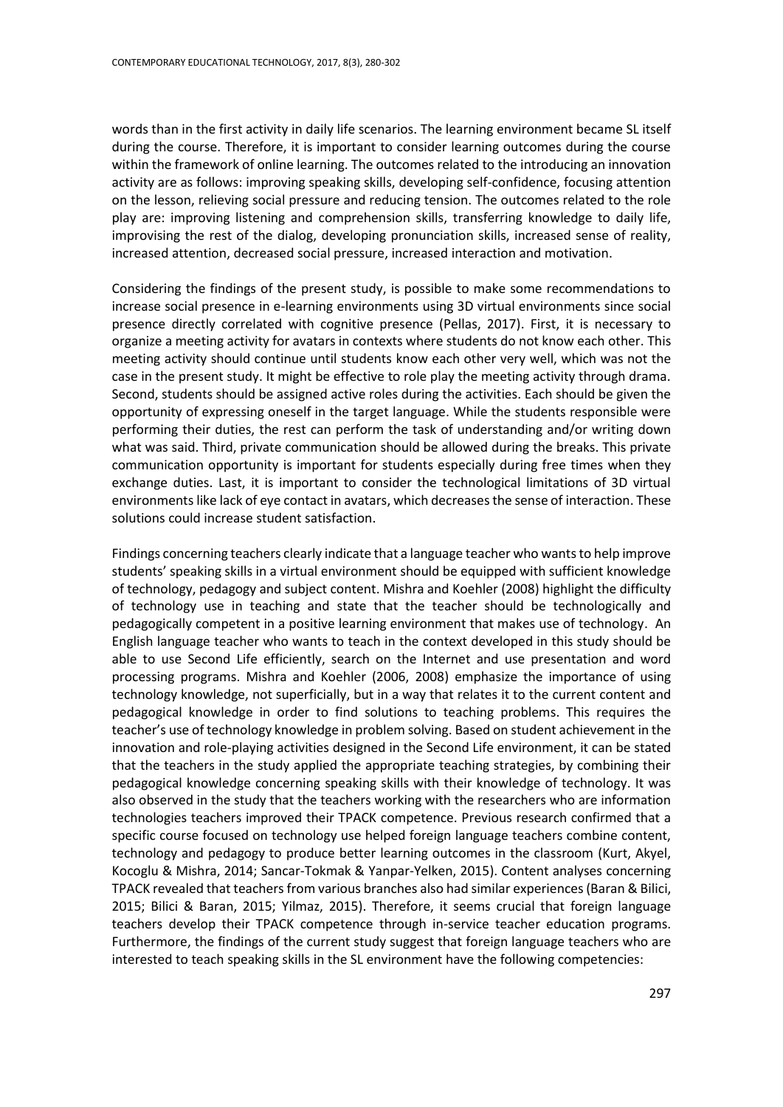words than in the first activity in daily life scenarios. The learning environment became SL itself during the course. Therefore, it is important to consider learning outcomes during the course within the framework of online learning. The outcomes related to the introducing an innovation activity are as follows: improving speaking skills, developing self-confidence, focusing attention on the lesson, relieving social pressure and reducing tension. The outcomes related to the role play are: improving listening and comprehension skills, transferring knowledge to daily life, improvising the rest of the dialog, developing pronunciation skills, increased sense of reality, increased attention, decreased social pressure, increased interaction and motivation.

Considering the findings of the present study, is possible to make some recommendations to increase social presence in e-learning environments using 3D virtual environments since social presence directly correlated with cognitive presence (Pellas, 2017). First, it is necessary to organize a meeting activity for avatars in contexts where students do not know each other. This meeting activity should continue until students know each other very well, which was not the case in the present study. It might be effective to role play the meeting activity through drama. Second, students should be assigned active roles during the activities. Each should be given the opportunity of expressing oneself in the target language. While the students responsible were performing their duties, the rest can perform the task of understanding and/or writing down what was said. Third, private communication should be allowed during the breaks. This private communication opportunity is important for students especially during free times when they exchange duties. Last, it is important to consider the technological limitations of 3D virtual environments like lack of eye contact in avatars, which decreases the sense of interaction. These solutions could increase student satisfaction.

Findings concerning teachers clearly indicate that a language teacher who wants to help improve students' speaking skills in a virtual environment should be equipped with sufficient knowledge of technology, pedagogy and subject content. Mishra and Koehler (2008) highlight the difficulty of technology use in teaching and state that the teacher should be technologically and pedagogically competent in a positive learning environment that makes use of technology. An English language teacher who wants to teach in the context developed in this study should be able to use Second Life efficiently, search on the Internet and use presentation and word processing programs. Mishra and Koehler (2006, 2008) emphasize the importance of using technology knowledge, not superficially, but in a way that relates it to the current content and pedagogical knowledge in order to find solutions to teaching problems. This requires the teacher's use of technology knowledge in problem solving. Based on student achievement in the innovation and role-playing activities designed in the Second Life environment, it can be stated that the teachers in the study applied the appropriate teaching strategies, by combining their pedagogical knowledge concerning speaking skills with their knowledge of technology. It was also observed in the study that the teachers working with the researchers who are information technologies teachers improved their TPACK competence. Previous research confirmed that a specific course focused on technology use helped foreign language teachers combine content, technology and pedagogy to produce better learning outcomes in the classroom (Kurt, Akyel, Kocoglu & Mishra, 2014; Sancar-Tokmak & Yanpar-Yelken, 2015). Content analyses concerning TPACK revealed that teachers from various branches also had similar experiences (Baran & Bilici, 2015; Bilici & Baran, 2015; Yilmaz, 2015). Therefore, it seems crucial that foreign language teachers develop their TPACK competence through in-service teacher education programs. Furthermore, the findings of the current study suggest that foreign language teachers who are interested to teach speaking skills in the SL environment have the following competencies: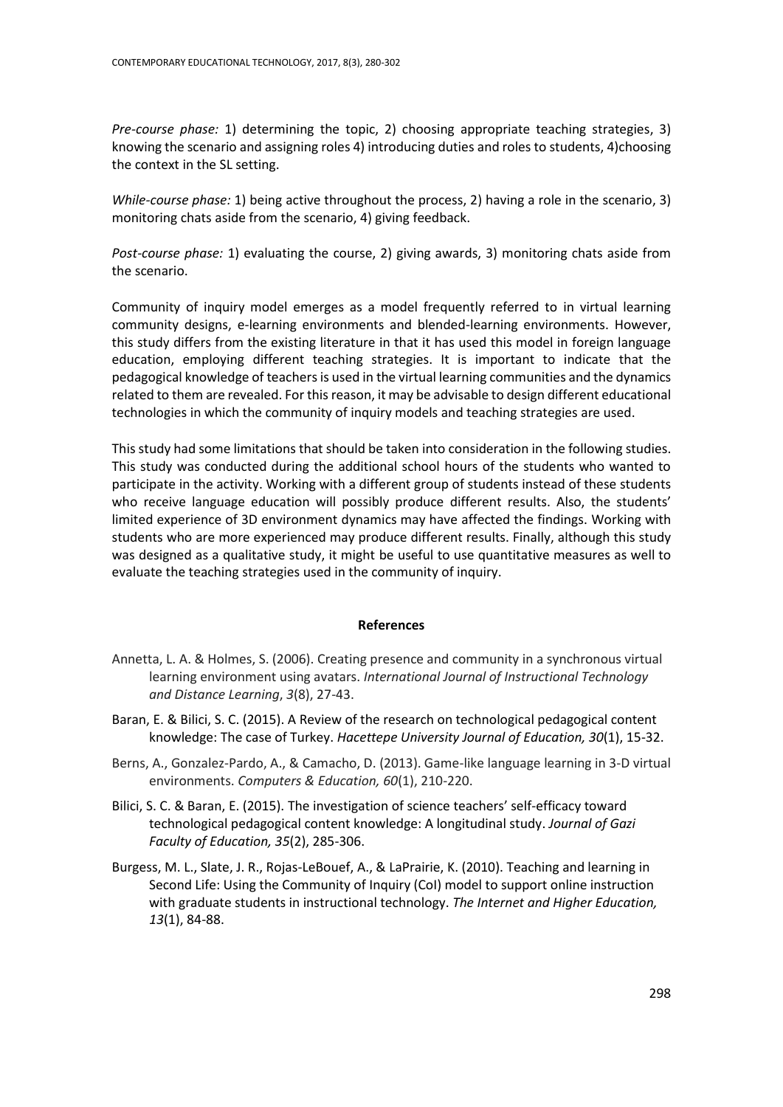*Pre-course phase:* 1) determining the topic, 2) choosing appropriate teaching strategies, 3) knowing the scenario and assigning roles 4) introducing duties and roles to students, 4)choosing the context in the SL setting.

*While-course phase:* 1) being active throughout the process, 2) having a role in the scenario, 3) monitoring chats aside from the scenario, 4) giving feedback.

*Post-course phase:* 1) evaluating the course, 2) giving awards, 3) monitoring chats aside from the scenario.

Community of inquiry model emerges as a model frequently referred to in virtual learning community designs, e-learning environments and blended-learning environments. However, this study differs from the existing literature in that it has used this model in foreign language education, employing different teaching strategies. It is important to indicate that the pedagogical knowledge of teachers is used in the virtual learning communities and the dynamics related to them are revealed. For this reason, it may be advisable to design different educational technologies in which the community of inquiry models and teaching strategies are used.

This study had some limitations that should be taken into consideration in the following studies. This study was conducted during the additional school hours of the students who wanted to participate in the activity. Working with a different group of students instead of these students who receive language education will possibly produce different results. Also, the students' limited experience of 3D environment dynamics may have affected the findings. Working with students who are more experienced may produce different results. Finally, although this study was designed as a qualitative study, it might be useful to use quantitative measures as well to evaluate the teaching strategies used in the community of inquiry.

#### **References**

- Annetta, L. A. & Holmes, S. (2006). Creating presence and community in a synchronous virtual learning environment using avatars. *International Journal of Instructional Technology and Distance Learning*, *3*(8), 27-43.
- Baran, E. & Bilici, S. C. (2015). A Review of the research on technological pedagogical content knowledge: The case of Turkey. *Hacettepe University Journal of Education, 30*(1), 15-32.
- Berns, A., Gonzalez-Pardo, A., & Camacho, D. (2013). Game-like language learning in 3-D virtual environments. *Computers & Education, 60*(1), 210-220.
- Bilici, S. C. & Baran, E. (2015). The investigation of science teachers' self-efficacy toward technological pedagogical content knowledge: A longitudinal study. *Journal of Gazi Faculty of Education, 35*(2), 285-306.
- Burgess, M. L., Slate, J. R., Rojas-LeBouef, A., & LaPrairie, K. (2010). Teaching and learning in Second Life: Using the Community of Inquiry (CoI) model to support online instruction with graduate students in instructional technology. *The Internet and Higher Education, 13*(1), 84-88.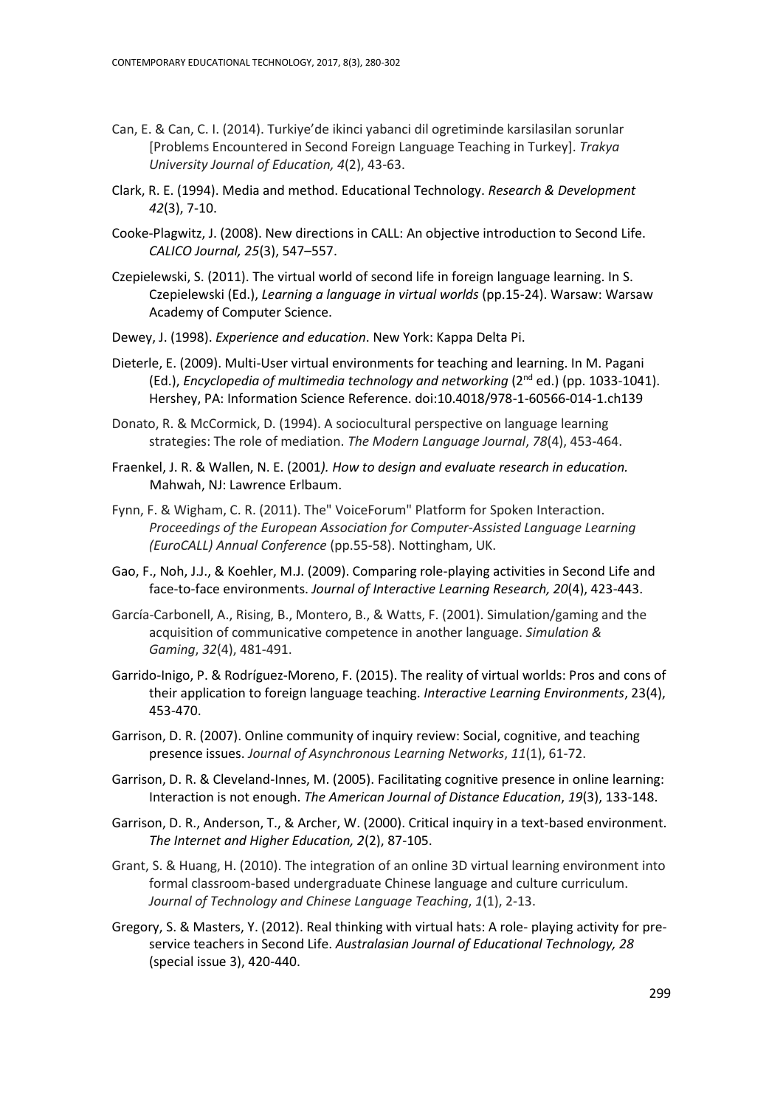- Can, E. & Can, C. I. (2014). Turkiye'de ikinci yabanci dil ogretiminde karsilasilan sorunlar [Problems Encountered in Second Foreign Language Teaching in Turkey]. *Trakya University Journal of Education, 4*(2), 43-63.
- Clark, R. E. (1994). Media and method. Educational Technology. *Research & Development 42*(3), 7-10.
- Cooke-Plagwitz, J. (2008). New directions in CALL: An objective introduction to Second Life. *CALICO Journal, 25*(3), 547–557.
- Czepielewski, S. (2011). The virtual world of second life in foreign language learning. In S. Czepielewski (Ed.), *Learning a language in virtual worlds* (pp.15-24). Warsaw: Warsaw Academy of Computer Science.
- Dewey, J. (1998). *Experience and education*. New York: Kappa Delta Pi.
- Dieterle, E. (2009). Multi-User virtual environments for teaching and learning. In M. Pagani (Ed.), *Encyclopedia of multimedia technology and networking* (2<sup>nd</sup> ed.) (pp. 1033-1041). Hershey, PA: Information Science Reference. doi:10.4018/978-1-60566-014-1.ch139
- Donato, R. & McCormick, D. (1994). A sociocultural perspective on language learning strategies: The role of mediation. *The Modern Language Journal*, *78*(4), 453-464.
- Fraenkel, J. R. & Wallen, N. E. (2001*). How to design and evaluate research in education.*  Mahwah, NJ: Lawrence Erlbaum.
- Fynn, F. & Wigham, C. R. (2011). The" VoiceForum" Platform for Spoken Interaction. *Proceedings of the European Association for Computer-Assisted Language Learning (EuroCALL) Annual Conference* (pp.55-58). Nottingham, UK.
- Gao, F., Noh, J.J., & Koehler, M.J. (2009). Comparing role-playing activities in Second Life and face-to-face environments. *Journal of Interactive Learning Research, 20*(4), 423-443.
- García-Carbonell, A., Rising, B., Montero, B., & Watts, F. (2001). Simulation/gaming and the acquisition of communicative competence in another language. *Simulation & Gaming*, *32*(4), 481-491.
- Garrido-Inigo, P. & Rodríguez-Moreno, F. (2015). The reality of virtual worlds: Pros and cons of their application to foreign language teaching. *Interactive Learning Environments*, 23(4), 453-470.
- Garrison, D. R. (2007). Online community of inquiry review: Social, cognitive, and teaching presence issues. *Journal of Asynchronous Learning Networks*, *11*(1), 61-72.
- Garrison, D. R. & Cleveland-Innes, M. (2005). Facilitating cognitive presence in online learning: Interaction is not enough. *The American Journal of Distance Education*, *19*(3), 133-148.
- Garrison, D. R., Anderson, T., & Archer, W. (2000). Critical inquiry in a text-based environment. *The Internet and Higher Education, 2*(2), 87-105.
- Grant, S. & Huang, H. (2010). The integration of an online 3D virtual learning environment into formal classroom-based undergraduate Chinese language and culture curriculum. *Journal of Technology and Chinese Language Teaching*, *1*(1), 2-13.
- Gregory, S. & Masters, Y. (2012). Real thinking with virtual hats: A role- playing activity for preservice teachers in Second Life. *Australasian Journal of Educational Technology, 28* (special issue 3), 420-440.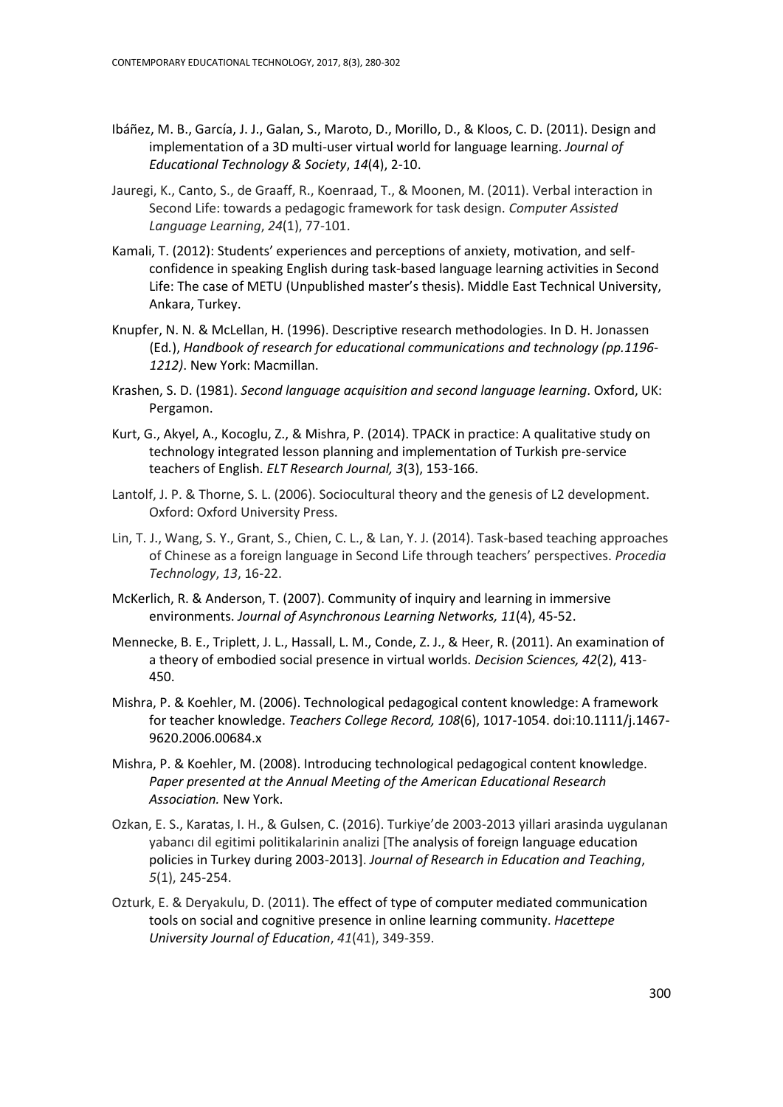- Ibáñez, M. B., García, J. J., Galan, S., Maroto, D., Morillo, D., & Kloos, C. D. (2011). Design and implementation of a 3D multi-user virtual world for language learning. *Journal of Educational Technology & Society*, *14*(4), 2-10.
- Jauregi, K., Canto, S., de Graaff, R., Koenraad, T., & Moonen, M. (2011). Verbal interaction in Second Life: towards a pedagogic framework for task design. *Computer Assisted Language Learning*, *24*(1), 77-101.
- Kamali, T. (2012): Students' experiences and perceptions of anxiety, motivation, and selfconfidence in speaking English during task-based language learning activities in Second Life: The case of METU (Unpublished master's thesis). Middle East Technical University, Ankara, Turkey.
- Knupfer, N. N. & McLellan, H. (1996). Descriptive research methodologies. In D. H. Jonassen (Ed*.*), *Handbook of research for educational communications and technology (pp.1196- 1212)*. New York: Macmillan.
- Krashen, S. D. (1981). *Second language acquisition and second language learning*. Oxford, UK: Pergamon.
- Kurt, G., Akyel, A., Kocoglu, Z., & Mishra, P. (2014). TPACK in practice: A qualitative study on technology integrated lesson planning and implementation of Turkish pre-service teachers of English. *ELT Research Journal, 3*(3), 153-166.
- Lantolf, J. P. & Thorne, S. L. (2006). Sociocultural theory and the genesis of L2 development. Oxford: Oxford University Press.
- Lin, T. J., Wang, S. Y., Grant, S., Chien, C. L., & Lan, Y. J. (2014). Task-based teaching approaches of Chinese as a foreign language in Second Life through teachers' perspectives. *Procedia Technology*, *13*, 16-22.
- McKerlich, R. & Anderson, T. (2007). Community of inquiry and learning in immersive environments. *Journal of Asynchronous Learning Networks, 11*(4), 45-52.
- Mennecke, B. E., Triplett, J. L., Hassall, L. M., Conde, Z. J., & Heer, R. (2011). An examination of a theory of embodied social presence in virtual worlds. *Decision Sciences, 42*(2), 413- 450.
- Mishra, P. & Koehler, M. (2006). Technological pedagogical content knowledge: A framework for teacher knowledge. *Teachers College Record, 108*(6), 1017-1054. doi:10.1111/j.1467- 9620.2006.00684.x
- Mishra, P. & Koehler, M. (2008). Introducing technological pedagogical content knowledge. *Paper presented at the Annual Meeting of the American Educational Research Association.* New York.
- Ozkan, E. S., Karatas, I. H., & Gulsen, C. (2016). Turkiye'de 2003-2013 yillari arasinda uygulanan yabancı dil egitimi politikalarinin analizi [The analysis of foreign language education policies in Turkey during 2003-2013]. *Journal of Research in Education and Teaching*, *5*(1), 245-254.
- Ozturk, E. & Deryakulu, D. (2011). The effect of type of computer mediated communication tools on social and cognitive presence in online learning community. *Hacettepe University Journal of Education*, *41*(41), 349-359.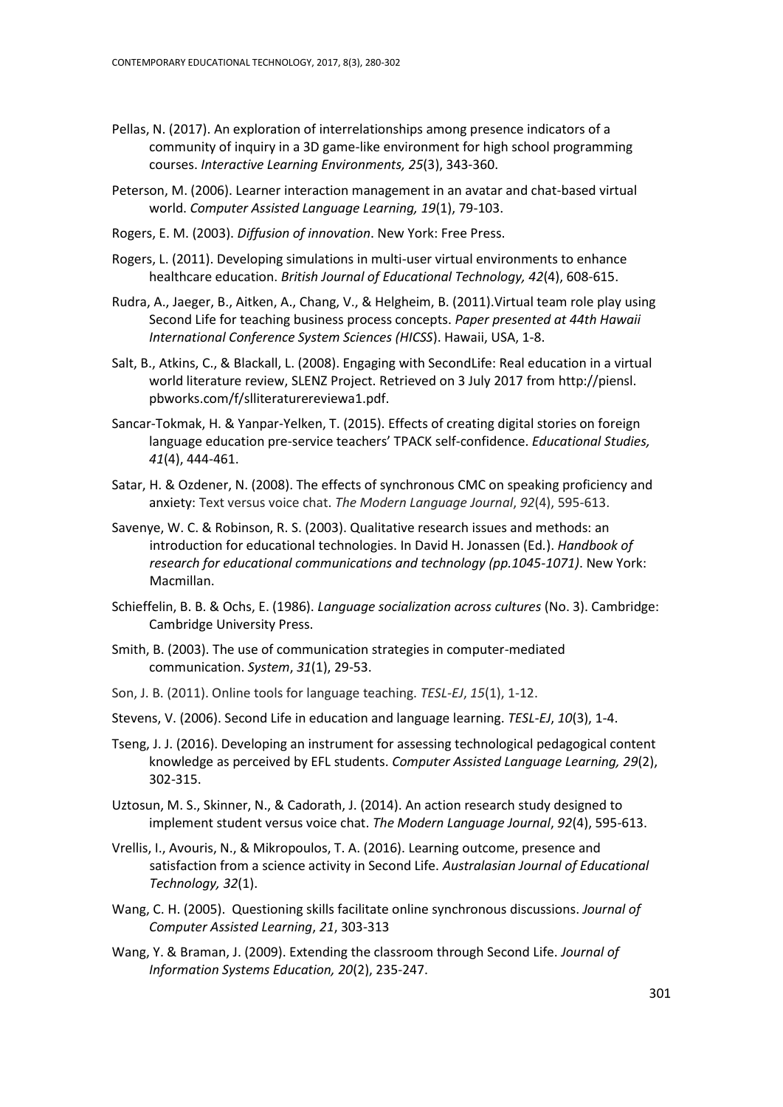- Pellas, N. (2017). An exploration of interrelationships among presence indicators of a community of inquiry in a 3D game-like environment for high school programming courses. *Interactive Learning Environments, 25*(3), 343-360.
- Peterson, M. (2006). Learner interaction management in an avatar and chat-based virtual world. *Computer Assisted Language Learning, 19*(1), 79-103.
- Rogers, E. M. (2003). *Diffusion of innovation*. New York: Free Press.
- Rogers, L. (2011). Developing simulations in multi-user virtual environments to enhance healthcare education. *British Journal of Educational Technology, 42*(4), 608-615.
- Rudra, A., Jaeger, B., [Aitken, A.,](http://ieeexplore.ieee.org/search/searchresult.jsp?searchWithin=p_Authors:.QT.Aitken,%20A..QT.&newsearch=partialPref) Chang, V., & Helgheim, B. (2011).Virtual team role play using Second Life for teaching business process concepts. *Paper presented at 44th Hawaii International Conference System Sciences (HICSS*). Hawaii, USA, 1-8.
- Salt, B., Atkins, C., & Blackall, L. (2008). Engaging with SecondLife: Real education in a virtual world literature review, SLENZ Project. Retrieved on 3 July 2017 fro[m http://piensl.](http://piensl/) pbworks.com/f/slliteraturereviewa1.pdf.
- Sancar-Tokmak, H. & Yanpar-Yelken, T. (2015). Effects of creating digital stories on foreign language education pre-service teachers' TPACK self-confidence. *Educational Studies, 41*(4), 444-461.
- Satar, H. & Ozdener, N. (2008). The effects of synchronous CMC on speaking proficiency and anxiety: Text versus voice chat. *The Modern Language Journal*, *92*(4), 595-613.
- Savenye, W. C. & Robinson, R. S. (2003). Qualitative research issues and methods: an introduction for educational technologies. In David H. Jonassen (Ed*.*). *Handbook of research for educational communications and technology (pp.1045-1071)*. New York: Macmillan.
- Schieffelin, B. B. & Ochs, E. (1986). *Language socialization across cultures* (No. 3). Cambridge: Cambridge University Press.
- Smith, B. (2003). The use of communication strategies in computer-mediated communication. *System*, *31*(1), 29-53.
- Son, J. B. (2011). Online tools for language teaching. *TESL-EJ*, *15*(1), 1-12.
- Stevens, V. (2006). Second Life in education and language learning. *TESL-EJ*, *10*(3), 1-4.
- Tseng, J. J. (2016). Developing an instrument for assessing technological pedagogical content knowledge as perceived by EFL students. *Computer Assisted Language Learning, 29*(2), 302-315.
- Uztosun, M. S., Skinner, N., & Cadorath, J. (2014). An action research study designed to implement student versus voice chat. *The Modern Language Journal*, *92*(4), 595-613.
- Vrellis, I., Avouris, N., & Mikropoulos, T. A. (2016). Learning outcome, presence and satisfaction from a science activity in Second Life. *Australasian Journal of Educational Technology, 32*(1).
- Wang, C. H. (2005). Questioning skills facilitate online synchronous discussions. *Journal of Computer Assisted Learning*, *21*, 303-313
- Wang, Y. & Braman, J. (2009). Extending the classroom through Second Life. *Journal of Information Systems Education, 20*(2), 235-247.